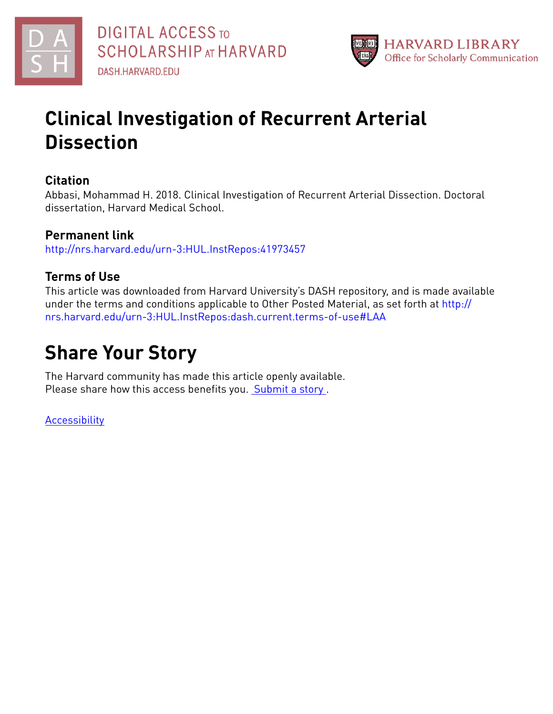



# **Clinical Investigation of Recurrent Arterial Dissection**

# **Citation**

Abbasi, Mohammad H. 2018. Clinical Investigation of Recurrent Arterial Dissection. Doctoral dissertation, Harvard Medical School.

# **Permanent link**

<http://nrs.harvard.edu/urn-3:HUL.InstRepos:41973457>

# **Terms of Use**

This article was downloaded from Harvard University's DASH repository, and is made available under the terms and conditions applicable to Other Posted Material, as set forth at [http://](http://nrs.harvard.edu/urn-3:HUL.InstRepos:dash.current.terms-of-use#LAA) [nrs.harvard.edu/urn-3:HUL.InstRepos:dash.current.terms-of-use#LAA](http://nrs.harvard.edu/urn-3:HUL.InstRepos:dash.current.terms-of-use#LAA)

# **Share Your Story**

The Harvard community has made this article openly available. Please share how this access benefits you. [Submit](http://osc.hul.harvard.edu/dash/open-access-feedback?handle=&title=Clinical%20Investigation%20of%20Recurrent%20Arterial%20Dissection&community=1/4454685&collection=1/11407446&owningCollection1/11407446&harvardAuthors=1af1fb880bfa90003221dad005aeed2e&departmentScholarly%20Project) a story.

[Accessibility](https://dash.harvard.edu/pages/accessibility)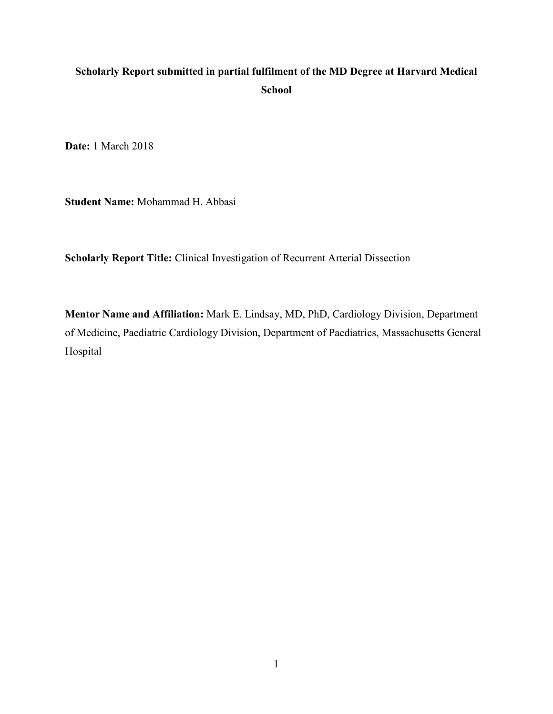# **Scholarly Report submitted in partial fulfilment of the MD Degree at Harvard Medical School**

**Date:** 1 March 2018

**Student Name:** Mohammad H. Abbasi

**Scholarly Report Title:** Clinical Investigation of Recurrent Arterial Dissection

**Mentor Name and Affiliation:** Mark E. Lindsay, MD, PhD, Cardiology Division, Department of Medicine, Paediatric Cardiology Division, Department of Paediatrics, Massachusetts General Hospital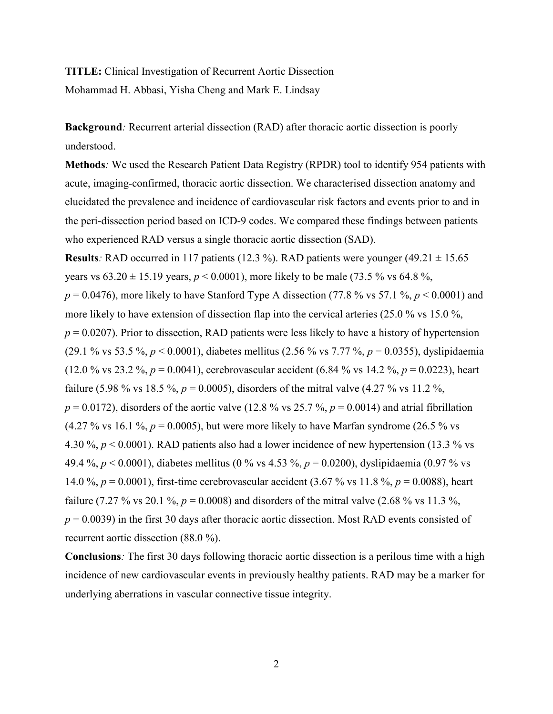# **TITLE:** Clinical Investigation of Recurrent Aortic Dissection Mohammad H. Abbasi, Yisha Cheng and Mark E. Lindsay

**Background***:* Recurrent arterial dissection (RAD) after thoracic aortic dissection is poorly understood.

**Methods***:* We used the Research Patient Data Registry (RPDR) tool to identify 954 patients with acute, imaging-confirmed, thoracic aortic dissection. We characterised dissection anatomy and elucidated the prevalence and incidence of cardiovascular risk factors and events prior to and in the peri-dissection period based on ICD-9 codes. We compared these findings between patients who experienced RAD versus a single thoracic aortic dissection (SAD).

**Results**: RAD occurred in 117 patients (12.3 %). RAD patients were younger (49.21  $\pm$  15.65 years vs  $63.20 \pm 15.19$  years,  $p < 0.0001$ ), more likely to be male (73.5 % vs 64.8 %,  $p = 0.0476$ , more likely to have Stanford Type A dissection (77.8 % vs 57.1 %,  $p \le 0.0001$ ) and more likely to have extension of dissection flap into the cervical arteries (25.0 % vs 15.0 %,  $p = 0.0207$ ). Prior to dissection, RAD patients were less likely to have a history of hypertension (29.1 % vs 53.5 %, *p* < 0.0001), diabetes mellitus (2.56 % vs 7.77 %, *p* = 0.0355), dyslipidaemia (12.0 % vs 23.2 %, *p* = 0.0041), cerebrovascular accident (6.84 % vs 14.2 %, *p* = 0.0223), heart failure (5.98 % vs 18.5 %,  $p = 0.0005$ ), disorders of the mitral valve (4.27 % vs 11.2 %,  $p = 0.0172$ ), disorders of the aortic valve (12.8 % vs 25.7 %,  $p = 0.0014$ ) and atrial fibrillation  $(4.27\% \text{ vs } 16.1\% \text{, } p = 0.0005)$ , but were more likely to have Marfan syndrome (26.5 % vs 4.30 %, *p* < 0.0001). RAD patients also had a lower incidence of new hypertension (13.3 % vs 49.4 %, *p* < 0.0001), diabetes mellitus (0 % vs 4.53 %, *p* = 0.0200), dyslipidaemia (0.97 % vs 14.0 %, *p* = 0.0001), first-time cerebrovascular accident (3.67 % vs 11.8 %, *p* = 0.0088), heart failure (7.27 % vs 20.1 %,  $p = 0.0008$ ) and disorders of the mitral valve (2.68 % vs 11.3 %,  $p = 0.0039$ ) in the first 30 days after thoracic aortic dissection. Most RAD events consisted of recurrent aortic dissection (88.0 %).

**Conclusions***:* The first 30 days following thoracic aortic dissection is a perilous time with a high incidence of new cardiovascular events in previously healthy patients. RAD may be a marker for underlying aberrations in vascular connective tissue integrity.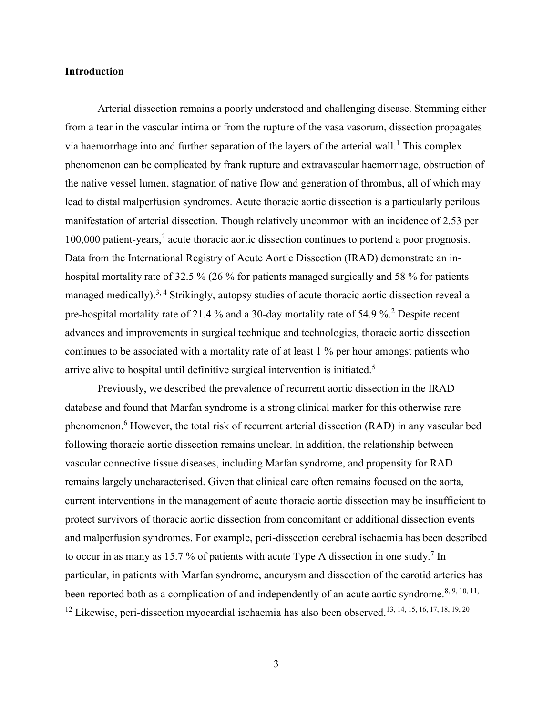#### **Introduction**

Arterial dissection remains a poorly understood and challenging disease. Stemming either from a tear in the vascular intima or from the rupture of the vasa vasorum, dissection propagates via haemorrhage into and further separation of the layers of the arterial wall.<sup>[1](#page-35-0)</sup> This complex phenomenon can be complicated by frank rupture and extravascular haemorrhage, obstruction of the native vessel lumen, stagnation of native flow and generation of thrombus, all of which may lead to distal malperfusion syndromes. Acute thoracic aortic dissection is a particularly perilous manifestation of arterial dissection. Though relatively uncommon with an incidence of 2.53 per 100,000 patient-years,<sup>[2](#page-35-1)</sup> acute thoracic aortic dissection continues to portend a poor prognosis. Data from the International Registry of Acute Aortic Dissection (IRAD) demonstrate an inhospital mortality rate of 32.5 % (26 % for patients managed surgically and 58 % for patients managed medically).<sup>[3,](#page-35-2) [4](#page-35-3)</sup> Strikingly, autopsy studies of acute thoracic aortic dissection reveal a pre-hospital mortality rate of 21.4 % and a 30-day mortality rate of 54.9 %.[2](#page-35-1) Despite recent advances and improvements in surgical technique and technologies, thoracic aortic dissection continues to be associated with a mortality rate of at least 1 % per hour amongst patients who arrive alive to hospital until definitive surgical intervention is initiated.[5](#page-35-4)

Previously, we described the prevalence of recurrent aortic dissection in the IRAD database and found that Marfan syndrome is a strong clinical marker for this otherwise rare phenomenon.[6](#page-35-5) However, the total risk of recurrent arterial dissection (RAD) in any vascular bed following thoracic aortic dissection remains unclear. In addition, the relationship between vascular connective tissue diseases, including Marfan syndrome, and propensity for RAD remains largely uncharacterised. Given that clinical care often remains focused on the aorta, current interventions in the management of acute thoracic aortic dissection may be insufficient to protect survivors of thoracic aortic dissection from concomitant or additional dissection events and malperfusion syndromes. For example, peri-dissection cerebral ischaemia has been described to occur in as many as 15.[7](#page-35-6)% of patients with acute Type A dissection in one study.<sup>7</sup> In particular, in patients with Marfan syndrome, aneurysm and dissection of the carotid arteries has been reported both as a complication of and independently of an acute aortic syndrome.<sup>[8,](#page-35-7) [9,](#page-35-8) [10,](#page-35-9) 11,</sup> <sup>[12](#page-36-1)</sup> Likewise, peri-dissection myocardial ischaemia has also been observed.<sup>[13,](#page-36-2) [14,](#page-36-3) [15,](#page-36-4) [16,](#page-36-5) [17,](#page-36-6) [18,](#page-36-7) [19,](#page-36-8) [20](#page-36-9)</sup>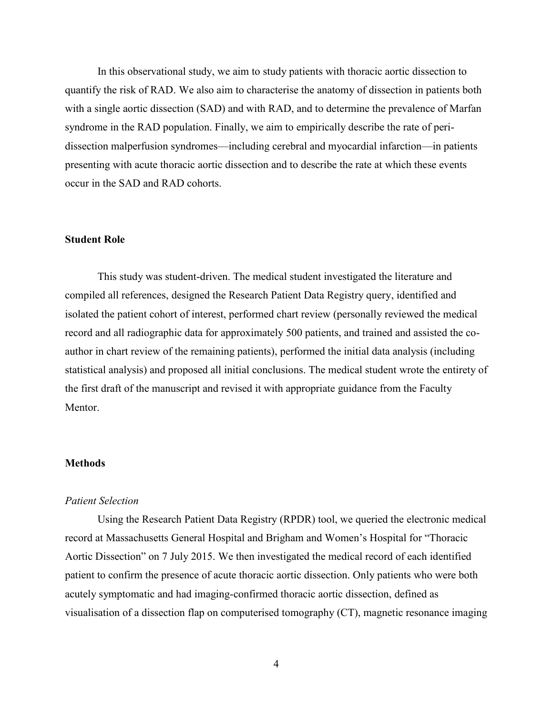In this observational study, we aim to study patients with thoracic aortic dissection to quantify the risk of RAD. We also aim to characterise the anatomy of dissection in patients both with a single aortic dissection (SAD) and with RAD, and to determine the prevalence of Marfan syndrome in the RAD population. Finally, we aim to empirically describe the rate of peridissection malperfusion syndromes—including cerebral and myocardial infarction—in patients presenting with acute thoracic aortic dissection and to describe the rate at which these events occur in the SAD and RAD cohorts.

## **Student Role**

This study was student-driven. The medical student investigated the literature and compiled all references, designed the Research Patient Data Registry query, identified and isolated the patient cohort of interest, performed chart review (personally reviewed the medical record and all radiographic data for approximately 500 patients, and trained and assisted the coauthor in chart review of the remaining patients), performed the initial data analysis (including statistical analysis) and proposed all initial conclusions. The medical student wrote the entirety of the first draft of the manuscript and revised it with appropriate guidance from the Faculty **Mentor** 

#### **Methods**

## *Patient Selection*

Using the Research Patient Data Registry (RPDR) tool, we queried the electronic medical record at Massachusetts General Hospital and Brigham and Women's Hospital for "Thoracic Aortic Dissection" on 7 July 2015. We then investigated the medical record of each identified patient to confirm the presence of acute thoracic aortic dissection. Only patients who were both acutely symptomatic and had imaging-confirmed thoracic aortic dissection, defined as visualisation of a dissection flap on computerised tomography (CT), magnetic resonance imaging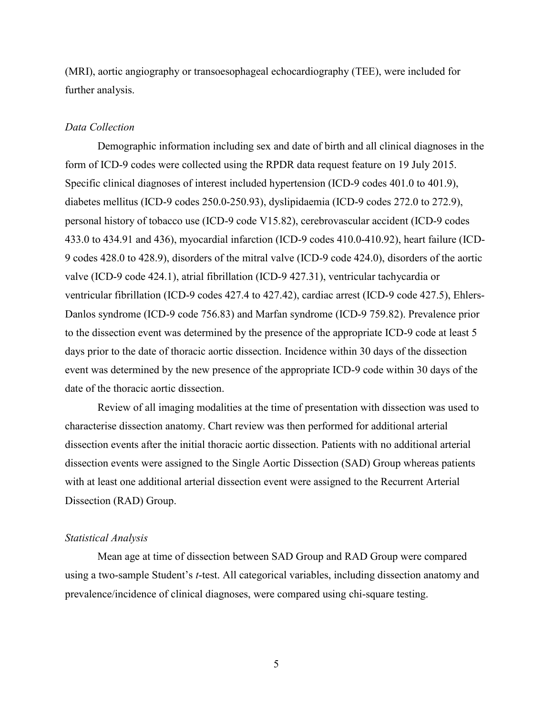(MRI), aortic angiography or transoesophageal echocardiography (TEE), were included for further analysis.

#### *Data Collection*

Demographic information including sex and date of birth and all clinical diagnoses in the form of ICD-9 codes were collected using the RPDR data request feature on 19 July 2015. Specific clinical diagnoses of interest included hypertension (ICD-9 codes 401.0 to 401.9), diabetes mellitus (ICD-9 codes 250.0-250.93), dyslipidaemia (ICD-9 codes 272.0 to 272.9), personal history of tobacco use (ICD-9 code V15.82), cerebrovascular accident (ICD-9 codes 433.0 to 434.91 and 436), myocardial infarction (ICD-9 codes 410.0-410.92), heart failure (ICD-9 codes 428.0 to 428.9), disorders of the mitral valve (ICD-9 code 424.0), disorders of the aortic valve (ICD-9 code 424.1), atrial fibrillation (ICD-9 427.31), ventricular tachycardia or ventricular fibrillation (ICD-9 codes 427.4 to 427.42), cardiac arrest (ICD-9 code 427.5), Ehlers-Danlos syndrome (ICD-9 code 756.83) and Marfan syndrome (ICD-9 759.82). Prevalence prior to the dissection event was determined by the presence of the appropriate ICD-9 code at least 5 days prior to the date of thoracic aortic dissection. Incidence within 30 days of the dissection event was determined by the new presence of the appropriate ICD-9 code within 30 days of the date of the thoracic aortic dissection.

Review of all imaging modalities at the time of presentation with dissection was used to characterise dissection anatomy. Chart review was then performed for additional arterial dissection events after the initial thoracic aortic dissection. Patients with no additional arterial dissection events were assigned to the Single Aortic Dissection (SAD) Group whereas patients with at least one additional arterial dissection event were assigned to the Recurrent Arterial Dissection (RAD) Group.

#### *Statistical Analysis*

Mean age at time of dissection between SAD Group and RAD Group were compared using a two-sample Student's *t*-test. All categorical variables, including dissection anatomy and prevalence/incidence of clinical diagnoses, were compared using chi-square testing.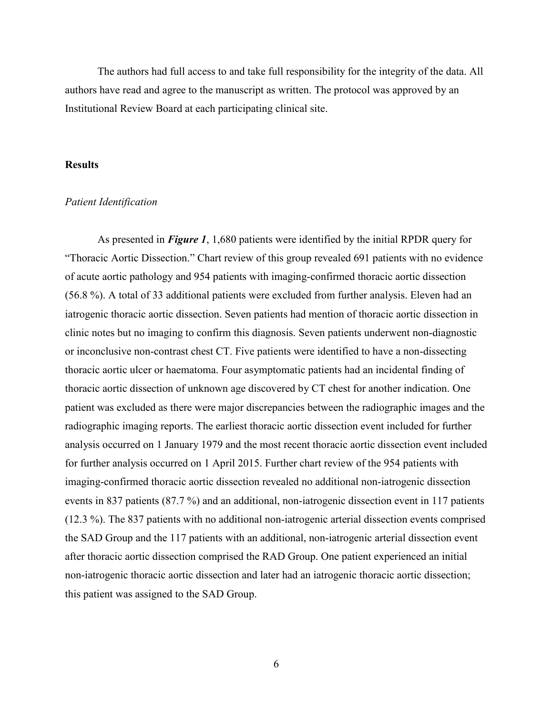The authors had full access to and take full responsibility for the integrity of the data. All authors have read and agree to the manuscript as written. The protocol was approved by an Institutional Review Board at each participating clinical site.

## **Results**

#### *Patient Identification*

As presented in *Figure 1*, 1,680 patients were identified by the initial RPDR query for "Thoracic Aortic Dissection." Chart review of this group revealed 691 patients with no evidence of acute aortic pathology and 954 patients with imaging-confirmed thoracic aortic dissection (56.8 %). A total of 33 additional patients were excluded from further analysis. Eleven had an iatrogenic thoracic aortic dissection. Seven patients had mention of thoracic aortic dissection in clinic notes but no imaging to confirm this diagnosis. Seven patients underwent non-diagnostic or inconclusive non-contrast chest CT. Five patients were identified to have a non-dissecting thoracic aortic ulcer or haematoma. Four asymptomatic patients had an incidental finding of thoracic aortic dissection of unknown age discovered by CT chest for another indication. One patient was excluded as there were major discrepancies between the radiographic images and the radiographic imaging reports. The earliest thoracic aortic dissection event included for further analysis occurred on 1 January 1979 and the most recent thoracic aortic dissection event included for further analysis occurred on 1 April 2015. Further chart review of the 954 patients with imaging-confirmed thoracic aortic dissection revealed no additional non-iatrogenic dissection events in 837 patients (87.7 %) and an additional, non-iatrogenic dissection event in 117 patients (12.3 %). The 837 patients with no additional non-iatrogenic arterial dissection events comprised the SAD Group and the 117 patients with an additional, non-iatrogenic arterial dissection event after thoracic aortic dissection comprised the RAD Group. One patient experienced an initial non-iatrogenic thoracic aortic dissection and later had an iatrogenic thoracic aortic dissection; this patient was assigned to the SAD Group.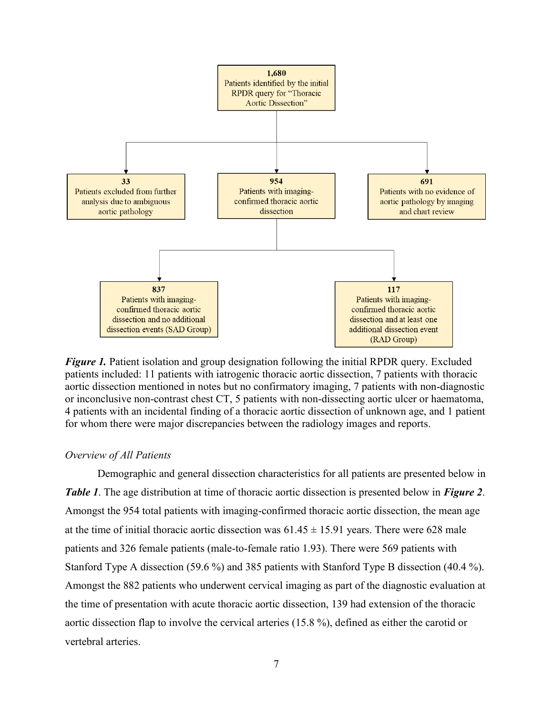

*Figure 1.* Patient isolation and group designation following the initial RPDR query. Excluded patients included: 11 patients with iatrogenic thoracic aortic dissection, 7 patients with thoracic aortic dissection mentioned in notes but no confirmatory imaging, 7 patients with non-diagnostic or inconclusive non-contrast chest CT, 5 patients with non-dissecting aortic ulcer or haematoma, 4 patients with an incidental finding of a thoracic aortic dissection of unknown age, and 1 patient for whom there were major discrepancies between the radiology images and reports.

#### *Overview of All Patients*

Demographic and general dissection characteristics for all patients are presented below in *Table 1*. The age distribution at time of thoracic aortic dissection is presented below in *Figure 2*. Amongst the 954 total patients with imaging-confirmed thoracic aortic dissection, the mean age at the time of initial thoracic aortic dissection was  $61.45 \pm 15.91$  years. There were 628 male patients and 326 female patients (male-to-female ratio 1.93). There were 569 patients with Stanford Type A dissection (59.6 %) and 385 patients with Stanford Type B dissection (40.4 %). Amongst the 882 patients who underwent cervical imaging as part of the diagnostic evaluation at the time of presentation with acute thoracic aortic dissection, 139 had extension of the thoracic aortic dissection flap to involve the cervical arteries (15.8 %), defined as either the carotid or vertebral arteries.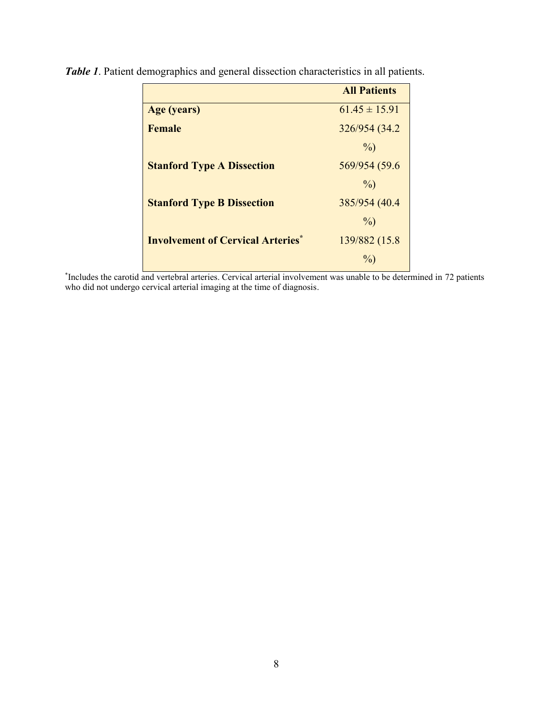|                                          | <b>All Patients</b> |
|------------------------------------------|---------------------|
| Age (years)                              | $61.45 \pm 15.91$   |
| <b>Female</b>                            | 326/954 (34.2)      |
|                                          | $\%$ )              |
| <b>Stanford Type A Dissection</b>        | 569/954 (59.6       |
|                                          | $\%$ )              |
| <b>Stanford Type B Dissection</b>        | 385/954 (40.4       |
|                                          | $\%$ )              |
| <b>Involvement of Cervical Arteries*</b> | 139/882 (15.8)      |
|                                          | $\frac{0}{0}$       |

*Table 1*. Patient demographics and general dissection characteristics in all patients.

\* Includes the carotid and vertebral arteries. Cervical arterial involvement was unable to be determined in 72 patients who did not undergo cervical arterial imaging at the time of diagnosis.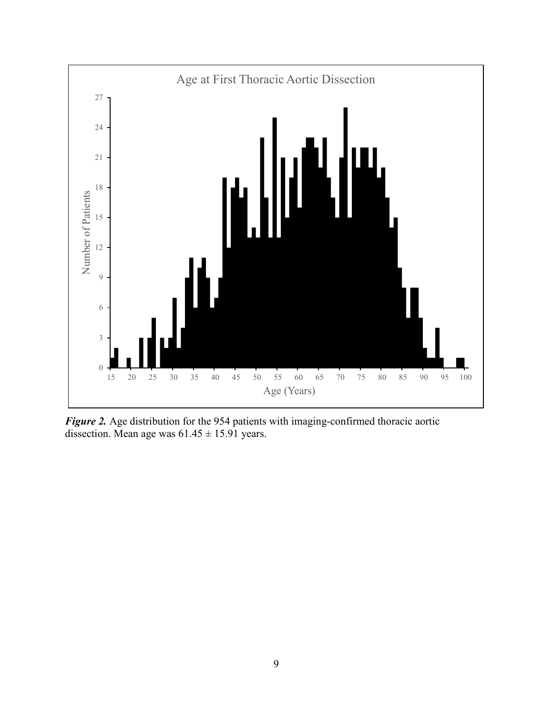

*Figure 2.* Age distribution for the 954 patients with imaging-confirmed thoracic aortic dissection. Mean age was  $61.45 \pm 15.91$  years.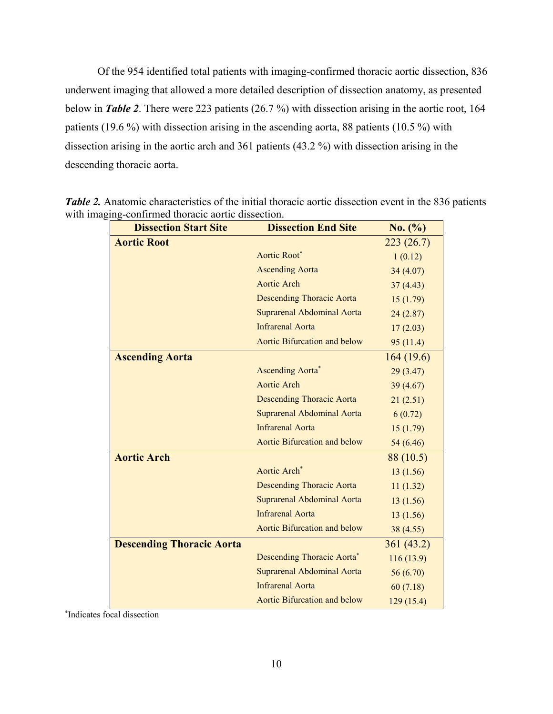Of the 954 identified total patients with imaging-confirmed thoracic aortic dissection, 836 underwent imaging that allowed a more detailed description of dissection anatomy, as presented below in *Table 2*. There were 223 patients (26.7 %) with dissection arising in the aortic root, 164 patients (19.6 %) with dissection arising in the ascending aorta, 88 patients (10.5 %) with dissection arising in the aortic arch and 361 patients (43.2 %) with dissection arising in the descending thoracic aorta.

| <b>Dissection Start Site</b>     | <b>Dissection End Site</b>          | No. (%)   |
|----------------------------------|-------------------------------------|-----------|
| <b>Aortic Root</b>               |                                     | 223(26.7) |
|                                  | Aortic Root*                        | 1(0.12)   |
|                                  | <b>Ascending Aorta</b>              | 34(4.07)  |
|                                  | Aortic Arch                         | 37(4.43)  |
|                                  | <b>Descending Thoracic Aorta</b>    | 15(1.79)  |
|                                  | Suprarenal Abdominal Aorta          | 24(2.87)  |
|                                  | <b>Infrarenal Aorta</b>             | 17(2.03)  |
|                                  | Aortic Bifurcation and below        | 95(11.4)  |
| <b>Ascending Aorta</b>           |                                     | 164(19.6) |
|                                  | <b>Ascending Aorta*</b>             | 29 (3.47) |
|                                  | <b>Aortic Arch</b>                  | 39(4.67)  |
|                                  | <b>Descending Thoracic Aorta</b>    | 21(2.51)  |
|                                  | <b>Suprarenal Abdominal Aorta</b>   | 6(0.72)   |
|                                  | <b>Infrarenal Aorta</b>             | 15(1.79)  |
|                                  | Aortic Bifurcation and below        | 54 (6.46) |
| <b>Aortic Arch</b>               |                                     | 88 (10.5) |
|                                  | Aortic Arch <sup>*</sup>            | 13(1.56)  |
|                                  | <b>Descending Thoracic Aorta</b>    | 11(1.32)  |
|                                  | Suprarenal Abdominal Aorta          | 13(1.56)  |
|                                  | <b>Infrarenal Aorta</b>             | 13(1.56)  |
|                                  | Aortic Bifurcation and below        | 38 (4.55) |
| <b>Descending Thoracic Aorta</b> |                                     | 361(43.2) |
|                                  | <b>Descending Thoracic Aorta</b> *  | 116(13.9) |
|                                  | Suprarenal Abdominal Aorta          | 56(6.70)  |
|                                  | <b>Infrarenal Aorta</b>             | 60(7.18)  |
|                                  | <b>Aortic Bifurcation and below</b> | 129(15.4) |

*Table 2.* Anatomic characteristics of the initial thoracic aortic dissection event in the 836 patients with imaging-confirmed thoracic aortic dissection.

\* Indicates focal dissection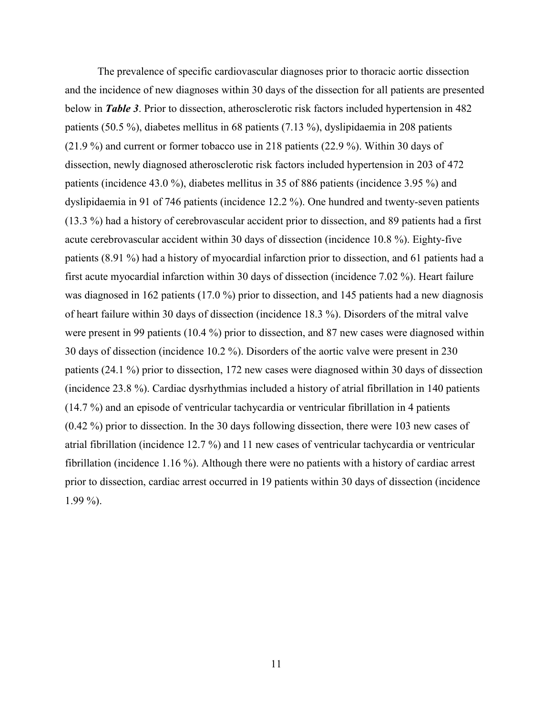The prevalence of specific cardiovascular diagnoses prior to thoracic aortic dissection and the incidence of new diagnoses within 30 days of the dissection for all patients are presented below in *Table 3*. Prior to dissection, atherosclerotic risk factors included hypertension in 482 patients (50.5 %), diabetes mellitus in 68 patients (7.13 %), dyslipidaemia in 208 patients (21.9 %) and current or former tobacco use in 218 patients (22.9 %). Within 30 days of dissection, newly diagnosed atherosclerotic risk factors included hypertension in 203 of 472 patients (incidence 43.0 %), diabetes mellitus in 35 of 886 patients (incidence 3.95 %) and dyslipidaemia in 91 of 746 patients (incidence 12.2 %). One hundred and twenty-seven patients (13.3 %) had a history of cerebrovascular accident prior to dissection, and 89 patients had a first acute cerebrovascular accident within 30 days of dissection (incidence 10.8 %). Eighty-five patients (8.91 %) had a history of myocardial infarction prior to dissection, and 61 patients had a first acute myocardial infarction within 30 days of dissection (incidence 7.02 %). Heart failure was diagnosed in 162 patients (17.0 %) prior to dissection, and 145 patients had a new diagnosis of heart failure within 30 days of dissection (incidence 18.3 %). Disorders of the mitral valve were present in 99 patients (10.4 %) prior to dissection, and 87 new cases were diagnosed within 30 days of dissection (incidence 10.2 %). Disorders of the aortic valve were present in 230 patients (24.1 %) prior to dissection, 172 new cases were diagnosed within 30 days of dissection (incidence 23.8 %). Cardiac dysrhythmias included a history of atrial fibrillation in 140 patients (14.7 %) and an episode of ventricular tachycardia or ventricular fibrillation in 4 patients (0.42 %) prior to dissection. In the 30 days following dissection, there were 103 new cases of atrial fibrillation (incidence 12.7 %) and 11 new cases of ventricular tachycardia or ventricular fibrillation (incidence 1.16 %). Although there were no patients with a history of cardiac arrest prior to dissection, cardiac arrest occurred in 19 patients within 30 days of dissection (incidence 1.99 %).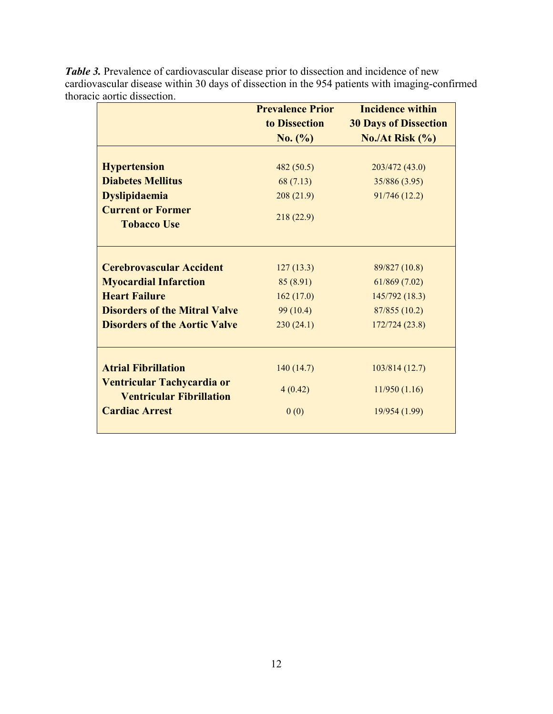|                                      | <b>Prevalence Prior</b> | <b>Incidence within</b>      |
|--------------------------------------|-------------------------|------------------------------|
|                                      | to Dissection           | <b>30 Days of Dissection</b> |
|                                      | No. (%)                 | No./At Risk $(\% )$          |
|                                      |                         |                              |
| <b>Hypertension</b>                  | 482(50.5)               | 203/472 (43.0)               |
| <b>Diabetes Mellitus</b>             | 68 (7.13)               | 35/886 (3.95)                |
| <b>Dyslipidaemia</b>                 | 208(21.9)               | 91/746 (12.2)                |
| <b>Current or Former</b>             |                         |                              |
| <b>Tobacco Use</b>                   | 218 (22.9)              |                              |
|                                      |                         |                              |
| <b>Cerebrovascular Accident</b>      | 127(13.3)               | 89/827 (10.8)                |
| <b>Myocardial Infarction</b>         | 85 (8.91)               | 61/869(7.02)                 |
| <b>Heart Failure</b>                 | 162(17.0)               | 145/792 (18.3)               |
| <b>Disorders of the Mitral Valve</b> | 99(10.4)                | 87/855 (10.2)                |
| <b>Disorders of the Aortic Valve</b> | 230(24.1)               | 172/724 (23.8)               |
|                                      |                         |                              |
| <b>Atrial Fibrillation</b>           | 140(14.7)               | 103/814(12.7)                |
| Ventricular Tachycardia or           | 4(0.42)                 | 11/950(1.16)                 |
| <b>Ventricular Fibrillation</b>      |                         |                              |
| <b>Cardiac Arrest</b>                | 0(0)                    | 19/954 (1.99)                |
|                                      |                         |                              |

*Table 3.* Prevalence of cardiovascular disease prior to dissection and incidence of new cardiovascular disease within 30 days of dissection in the 954 patients with imaging-confirmed thoracic aortic dissection.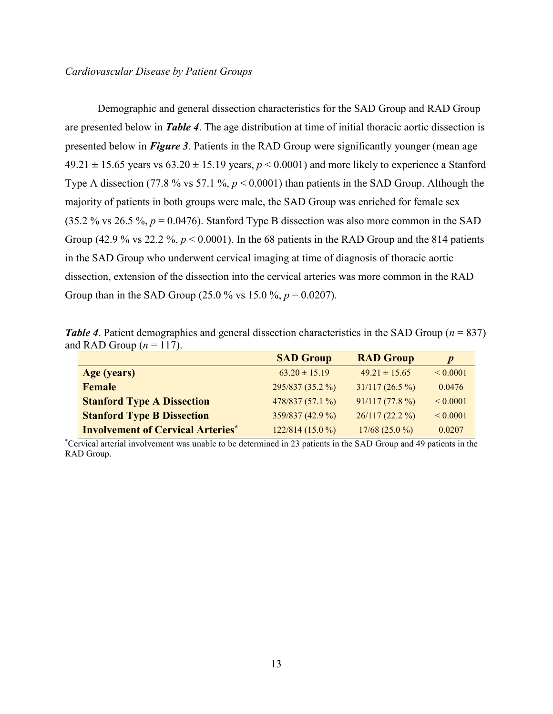Demographic and general dissection characteristics for the SAD Group and RAD Group are presented below in *Table 4*. The age distribution at time of initial thoracic aortic dissection is presented below in *Figure 3*. Patients in the RAD Group were significantly younger (mean age  $49.21 \pm 15.65$  years vs  $63.20 \pm 15.19$  years,  $p < 0.0001$ ) and more likely to experience a Stanford Type A dissection (77.8 % vs 57.1 %, *p* < 0.0001) than patients in the SAD Group. Although the majority of patients in both groups were male, the SAD Group was enriched for female sex (35.2 % vs 26.5 %,  $p = 0.0476$ ). Stanford Type B dissection was also more common in the SAD Group (42.9 % vs 22.2 %,  $p < 0.0001$ ). In the 68 patients in the RAD Group and the 814 patients in the SAD Group who underwent cervical imaging at time of diagnosis of thoracic aortic dissection, extension of the dissection into the cervical arteries was more common in the RAD Group than in the SAD Group (25.0 % vs 15.0 %,  $p = 0.0207$ ).

*Table 4*. Patient demographics and general dissection characteristics in the SAD Group (*n* = 837) and RAD Group  $(n = 117)$ .

|                                          | <b>SAD Group</b>  | <b>RAD Group</b>  | $\boldsymbol{p}$ |
|------------------------------------------|-------------------|-------------------|------------------|
| Age (years)                              | $63.20 \pm 15.19$ | $49.21 \pm 15.65$ | ${}< 0.0001$     |
| Female                                   | 295/837 (35.2 %)  | $31/117(26.5\%)$  | 0.0476           |
| <b>Stanford Type A Dissection</b>        | 478/837 (57.1 %)  | 91/117(77.8%)     | ${}< 0.0001$     |
| <b>Stanford Type B Dissection</b>        | 359/837 (42.9 %)  | $26/117(22.2\%)$  | ${}< 0.0001$     |
| <b>Involvement of Cervical Arteries*</b> | $122/814(15.0\%)$ | $17/68(25.0\%)$   | 0.0207           |

\*Cervical arterial involvement was unable to be determined in 23 patients in the SAD Group and 49 patients in the RAD Group.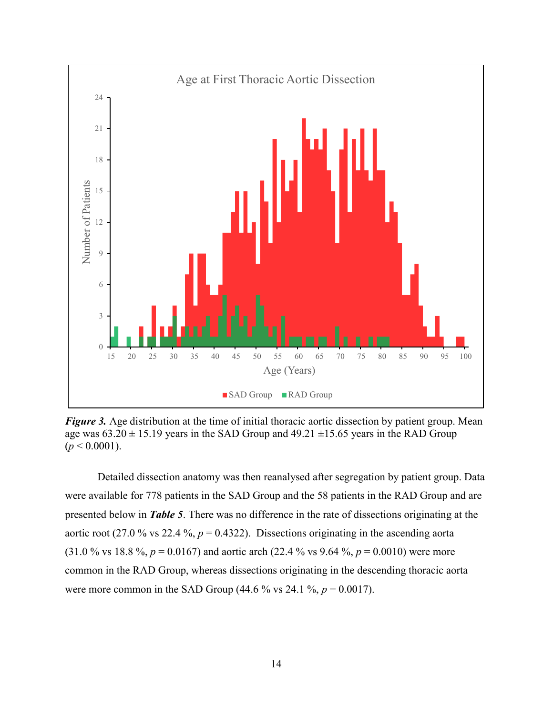

*Figure 3.* Age distribution at the time of initial thoracic aortic dissection by patient group. Mean age was  $63.20 \pm 15.19$  years in the SAD Group and  $49.21 \pm 15.65$  years in the RAD Group  $(p < 0.0001)$ .

Detailed dissection anatomy was then reanalysed after segregation by patient group. Data were available for 778 patients in the SAD Group and the 58 patients in the RAD Group and are presented below in *Table 5*. There was no difference in the rate of dissections originating at the aortic root (27.0 % vs 22.4 %,  $p = 0.4322$ ). Dissections originating in the ascending aorta (31.0 % vs 18.8 %,  $p = 0.0167$ ) and aortic arch (22.4 % vs 9.64 %,  $p = 0.0010$ ) were more common in the RAD Group, whereas dissections originating in the descending thoracic aorta were more common in the SAD Group (44.6  $\%$  vs 24.1  $\%$ , *p* = 0.0017).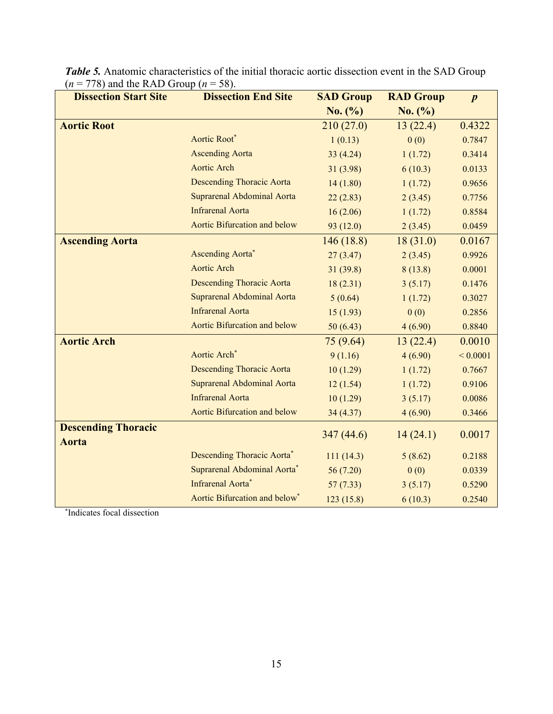| $(10)$ and the Read Stroup $(n)$<br><b>Dissection Start Site</b> | JU J.<br><b>Dissection End Site</b>       | <b>SAD Group</b> | <b>RAD Group</b> | $\boldsymbol{p}$ |
|------------------------------------------------------------------|-------------------------------------------|------------------|------------------|------------------|
|                                                                  |                                           | No. (%)          | No. (%)          |                  |
| <b>Aortic Root</b>                                               |                                           | 210(27.0)        | 13(22.4)         | 0.4322           |
|                                                                  | Aortic Root*                              | 1(0.13)          | 0(0)             | 0.7847           |
|                                                                  | <b>Ascending Aorta</b>                    | 33 (4.24)        | 1(1.72)          | 0.3414           |
|                                                                  | <b>Aortic Arch</b>                        | 31 (3.98)        | 6(10.3)          | 0.0133           |
|                                                                  | <b>Descending Thoracic Aorta</b>          | 14(1.80)         | 1(1.72)          | 0.9656           |
|                                                                  | <b>Suprarenal Abdominal Aorta</b>         | 22(2.83)         | 2(3.45)          | 0.7756           |
|                                                                  | <b>Infrarenal Aorta</b>                   | 16(2.06)         | 1(1.72)          | 0.8584           |
|                                                                  | Aortic Bifurcation and below              | 93(12.0)         | 2(3.45)          | 0.0459           |
| <b>Ascending Aorta</b>                                           |                                           | 146(18.8)        | 18(31.0)         | 0.0167           |
|                                                                  | <b>Ascending Aorta</b> *                  | 27(3.47)         | 2(3.45)          | 0.9926           |
|                                                                  | <b>Aortic Arch</b>                        | 31(39.8)         | 8(13.8)          | 0.0001           |
|                                                                  | <b>Descending Thoracic Aorta</b>          | 18(2.31)         | 3(5.17)          | 0.1476           |
|                                                                  | Suprarenal Abdominal Aorta                | 5(0.64)          | 1(1.72)          | 0.3027           |
|                                                                  | <b>Infrarenal Aorta</b>                   | 15(1.93)         | 0(0)             | 0.2856           |
|                                                                  | Aortic Bifurcation and below              | 50(6.43)         | 4(6.90)          | 0.8840           |
| <b>Aortic Arch</b>                                               |                                           | 75(9.64)         | 13(22.4)         | 0.0010           |
|                                                                  | Aortic Arch*                              | 9(1.16)          | 4(6.90)          | ${}_{0.0001}$    |
|                                                                  | <b>Descending Thoracic Aorta</b>          | 10(1.29)         | 1(1.72)          | 0.7667           |
|                                                                  | Suprarenal Abdominal Aorta                | 12(1.54)         | 1(1.72)          | 0.9106           |
|                                                                  | <b>Infrarenal Aorta</b>                   | 10(1.29)         | 3(5.17)          | 0.0086           |
|                                                                  | Aortic Bifurcation and below              | 34 (4.37)        | 4(6.90)          | 0.3466           |
| <b>Descending Thoracic</b>                                       |                                           | 347(44.6)        |                  | 0.0017           |
| <b>Aorta</b>                                                     |                                           |                  | 14(24.1)         |                  |
|                                                                  | Descending Thoracic Aorta*                | 111(14.3)        | 5(8.62)          | 0.2188           |
|                                                                  | Suprarenal Abdominal Aorta*               | 56 (7.20)        | 0(0)             | 0.0339           |
|                                                                  | Infrarenal Aorta*                         | 57(7.33)         | 3(5.17)          | 0.5290           |
|                                                                  | Aortic Bifurcation and below <sup>*</sup> | 123(15.8)        | 6(10.3)          | 0.2540           |

*Table 5.* Anatomic characteristics of the initial thoracic aortic dissection event in the SAD Group  $(n = 778)$  and the RAD Group  $(n = 58)$ .

\* Indicates focal dissection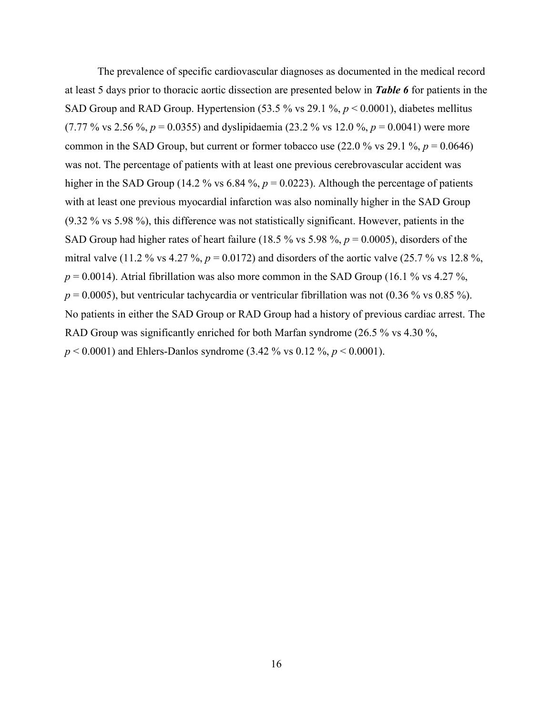The prevalence of specific cardiovascular diagnoses as documented in the medical record at least 5 days prior to thoracic aortic dissection are presented below in *Table 6* for patients in the SAD Group and RAD Group. Hypertension (53.5 % vs 29.1 %, *p* < 0.0001), diabetes mellitus (7.77 % vs 2.56 %,  $p = 0.0355$ ) and dyslipidaemia (23.2 % vs 12.0 %,  $p = 0.0041$ ) were more common in the SAD Group, but current or former tobacco use  $(22.0\% \text{ vs } 29.1\% , p = 0.0646)$ was not. The percentage of patients with at least one previous cerebrovascular accident was higher in the SAD Group (14.2 % vs 6.84 %,  $p = 0.0223$ ). Although the percentage of patients with at least one previous myocardial infarction was also nominally higher in the SAD Group (9.32 % vs 5.98 %), this difference was not statistically significant. However, patients in the SAD Group had higher rates of heart failure (18.5 % vs 5.98 %, *p* = 0.0005), disorders of the mitral valve (11.2 % vs 4.27 %,  $p = 0.0172$ ) and disorders of the aortic valve (25.7 % vs 12.8 %,  $p = 0.0014$ ). Atrial fibrillation was also more common in the SAD Group (16.1 % vs 4.27 %,  $p = 0.0005$ ), but ventricular tachycardia or ventricular fibrillation was not (0.36 % vs 0.85 %). No patients in either the SAD Group or RAD Group had a history of previous cardiac arrest. The RAD Group was significantly enriched for both Marfan syndrome (26.5 % vs 4.30 %, *p* < 0.0001) and Ehlers-Danlos syndrome (3.42 % vs 0.12 %, *p* < 0.0001).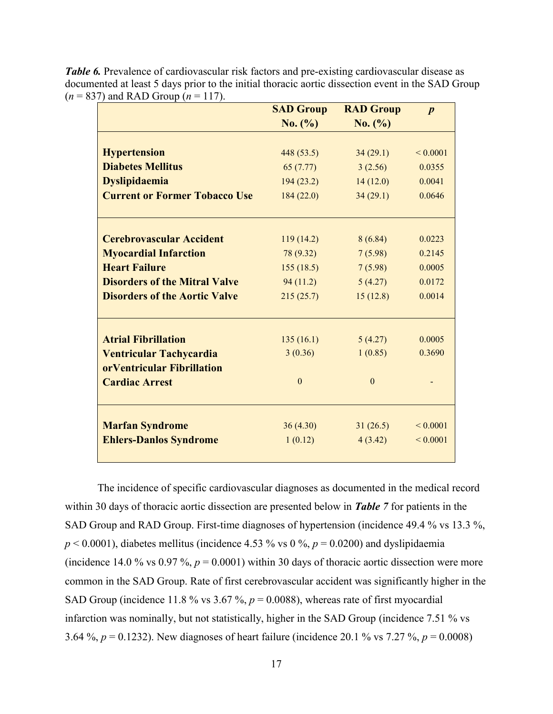|                                      | <b>SAD Group</b> | <b>RAD Group</b> | $\boldsymbol{p}$ |
|--------------------------------------|------------------|------------------|------------------|
|                                      | No. (%)          | No. (%)          |                  |
|                                      |                  |                  |                  |
| <b>Hypertension</b>                  | 448(53.5)        | 34(29.1)         | ${}_{0.0001}$    |
| <b>Diabetes Mellitus</b>             | 65(7.77)         | 3(2.56)          | 0.0355           |
| <b>Dyslipidaemia</b>                 | 194(23.2)        | 14(12.0)         | 0.0041           |
| <b>Current or Former Tobacco Use</b> | 184(22.0)        | 34(29.1)         | 0.0646           |
|                                      |                  |                  |                  |
| <b>Cerebrovascular Accident</b>      |                  |                  | 0.0223           |
|                                      | 119(14.2)        | 8(6.84)          |                  |
| <b>Myocardial Infarction</b>         | 78 (9.32)        | 7(5.98)          | 0.2145           |
| <b>Heart Failure</b>                 | 155(18.5)        | 7(5.98)          | 0.0005           |
| <b>Disorders of the Mitral Valve</b> | 94(11.2)         | 5(4.27)          | 0.0172           |
| <b>Disorders of the Aortic Valve</b> | 215(25.7)        | 15(12.8)         | 0.0014           |
|                                      |                  |                  |                  |
| <b>Atrial Fibrillation</b>           | 135(16.1)        | 5(4.27)          | 0.0005           |
| <b>Ventricular Tachycardia</b>       | 3(0.36)          | 1(0.85)          | 0.3690           |
| orVentricular Fibrillation           |                  |                  |                  |
| <b>Cardiac Arrest</b>                | $\theta$         | $\theta$         |                  |
|                                      |                  |                  |                  |
| <b>Marfan Syndrome</b>               | 36(4.30)         | 31(26.5)         | ${}_{0.0001}$    |
| <b>Ehlers-Danlos Syndrome</b>        | 1(0.12)          | 4(3.42)          | ${}_{0.0001}$    |

*Table 6.* Prevalence of cardiovascular risk factors and pre-existing cardiovascular disease as documented at least 5 days prior to the initial thoracic aortic dissection event in the SAD Group  $(n = 837)$  and RAD Group  $(n = 117)$ .

The incidence of specific cardiovascular diagnoses as documented in the medical record within 30 days of thoracic aortic dissection are presented below in *Table 7* for patients in the SAD Group and RAD Group. First-time diagnoses of hypertension (incidence 49.4 % vs 13.3 %,  $p < 0.0001$ ), diabetes mellitus (incidence 4.53 % vs 0 %,  $p = 0.0200$ ) and dyslipidaemia (incidence 14.0 % vs 0.97 %,  $p = 0.0001$ ) within 30 days of thoracic aortic dissection were more common in the SAD Group. Rate of first cerebrovascular accident was significantly higher in the SAD Group (incidence 11.8 % vs 3.67 %,  $p = 0.0088$ ), whereas rate of first myocardial infarction was nominally, but not statistically, higher in the SAD Group (incidence 7.51 % vs 3.64 %, *p* = 0.1232). New diagnoses of heart failure (incidence 20.1 % vs 7.27 %, *p* = 0.0008)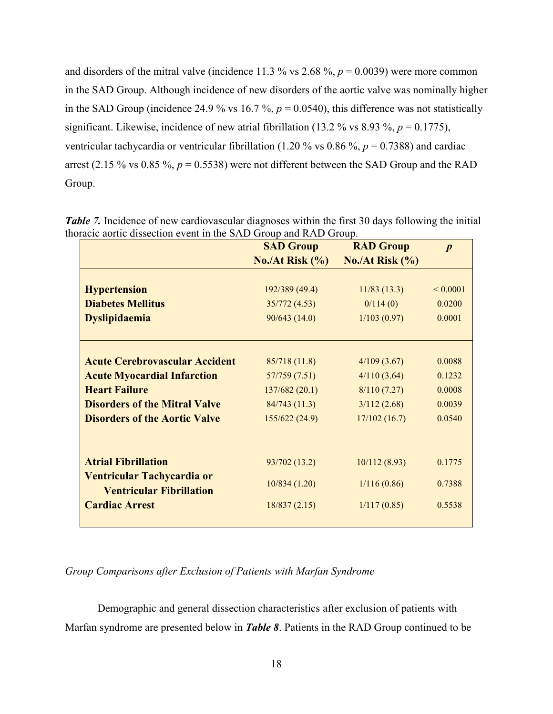and disorders of the mitral valve (incidence 11.3  $\%$  vs 2.68  $\%$ ,  $p = 0.0039$ ) were more common in the SAD Group. Although incidence of new disorders of the aortic valve was nominally higher in the SAD Group (incidence 24.9 % vs 16.7 %,  $p = 0.0540$ ), this difference was not statistically significant. Likewise, incidence of new atrial fibrillation (13.2 % vs 8.93 %,  $p = 0.1775$ ), ventricular tachycardia or ventricular fibrillation (1.20 % vs 0.86 %, *p* = 0.7388) and cardiac arrest (2.15 % vs 0.85 %,  $p = 0.5538$ ) were not different between the SAD Group and the RAD Group.

|                                                               | <b>SAD Group</b>            | <b>RAD Group</b>                   | $\boldsymbol{p}$ |
|---------------------------------------------------------------|-----------------------------|------------------------------------|------------------|
|                                                               | $\text{No./At Risk } (\% )$ | $\text{No}./\text{At Risk } (\% )$ |                  |
|                                                               |                             |                                    |                  |
| <b>Hypertension</b>                                           | 192/389 (49.4)              | 11/83(13.3)                        | ${}_{0.0001}$    |
| <b>Diabetes Mellitus</b>                                      | 35/772(4.53)                | 0/114(0)                           | 0.0200           |
| <b>Dyslipidaemia</b>                                          | 90/643(14.0)                | 1/103(0.97)                        | 0.0001           |
| <b>Acute Cerebrovascular Accident</b>                         | 85/718(11.8)                |                                    | 0.0088           |
|                                                               |                             | 4/109(3.67)                        |                  |
| <b>Acute Myocardial Infarction</b>                            | 57/759 (7.51)               | 4/110(3.64)                        | 0.1232           |
| <b>Heart Failure</b>                                          | 137/682(20.1)               | 8/110(7.27)                        | 0.0008           |
| <b>Disorders of the Mitral Valve</b>                          | 84/743(11.3)                | 3/112(2.68)                        | 0.0039           |
| <b>Disorders of the Aortic Valve</b>                          | 155/622(24.9)               | 17/102(16.7)                       | 0.0540           |
| <b>Atrial Fibrillation</b>                                    | 93/702 (13.2)               | 10/112(8.93)                       | 0.1775           |
| Ventricular Tachycardia or<br><b>Ventricular Fibrillation</b> | 10/834(1.20)                | 1/116(0.86)                        | 0.7388           |
| <b>Cardiac Arrest</b>                                         | 18/837(2.15)                | 1/117(0.85)                        | 0.5538           |
|                                                               |                             |                                    |                  |

*Table 7.* Incidence of new cardiovascular diagnoses within the first 30 days following the initial thoracic aortic dissection event in the SAD Group and RAD Group.

## *Group Comparisons after Exclusion of Patients with Marfan Syndrome*

Demographic and general dissection characteristics after exclusion of patients with Marfan syndrome are presented below in *Table 8*. Patients in the RAD Group continued to be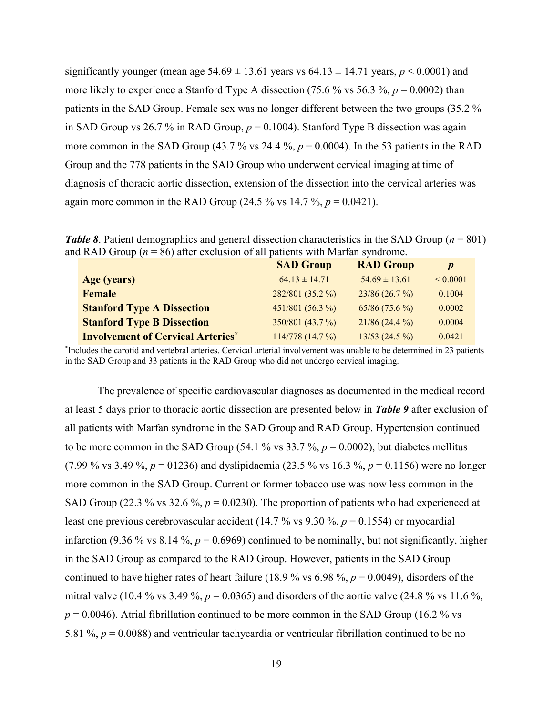significantly younger (mean age  $54.69 \pm 13.61$  years vs  $64.13 \pm 14.71$  years,  $p < 0.0001$ ) and more likely to experience a Stanford Type A dissection (75.6 % vs 56.3 %,  $p = 0.0002$ ) than patients in the SAD Group. Female sex was no longer different between the two groups (35.2 % in SAD Group vs 26.7 % in RAD Group,  $p = 0.1004$ ). Stanford Type B dissection was again more common in the SAD Group (43.7 % vs 24.4 %,  $p = 0.0004$ ). In the 53 patients in the RAD Group and the 778 patients in the SAD Group who underwent cervical imaging at time of diagnosis of thoracic aortic dissection, extension of the dissection into the cervical arteries was again more common in the RAD Group (24.5  $\%$  vs 14.7  $\%$ ,  $p = 0.0421$ ).

*Table 8*. Patient demographics and general dissection characteristics in the SAD Group (*n* = 801) and RAD Group ( $n = 86$ ) after exclusion of all patients with Marfan syndrome.

|                                          | <b>SAD Group</b>  | <b>RAD Group</b>  | $\boldsymbol{p}$ |
|------------------------------------------|-------------------|-------------------|------------------|
| Age (years)                              | $64.13 \pm 14.71$ | $54.69 \pm 13.61$ | ${}< 0.0001$     |
| Female                                   | 282/801 (35.2 %)  | 23/86(26.7%)      | 0.1004           |
| <b>Stanford Type A Dissection</b>        | 451/801 (56.3 %)  | $65/86(75.6\%)$   | 0.0002           |
| <b>Stanford Type B Dissection</b>        | 350/801 (43.7 %)  | $21/86(24.4\%)$   | 0.0004           |
| <b>Involvement of Cervical Arteries*</b> | 114/778(14.7%)    | $13/53$ (24.5 %)  | 0.0421           |

\* Includes the carotid and vertebral arteries. Cervical arterial involvement was unable to be determined in 23 patients in the SAD Group and 33 patients in the RAD Group who did not undergo cervical imaging.

The prevalence of specific cardiovascular diagnoses as documented in the medical record at least 5 days prior to thoracic aortic dissection are presented below in *Table 9* after exclusion of all patients with Marfan syndrome in the SAD Group and RAD Group. Hypertension continued to be more common in the SAD Group (54.1 % vs  $33.7$  %,  $p = 0.0002$ ), but diabetes mellitus (7.99 % vs 3.49 %,  $p = 01236$ ) and dyslipidaemia (23.5 % vs 16.3 %,  $p = 0.1156$ ) were no longer more common in the SAD Group. Current or former tobacco use was now less common in the SAD Group (22.3 % vs 32.6 %,  $p = 0.0230$ ). The proportion of patients who had experienced at least one previous cerebrovascular accident (14.7 % vs 9.30 %, *p* = 0.1554) or myocardial infarction (9.36 % vs 8.14 %,  $p = 0.6969$ ) continued to be nominally, but not significantly, higher in the SAD Group as compared to the RAD Group. However, patients in the SAD Group continued to have higher rates of heart failure (18.9 % vs 6.98 %,  $p = 0.0049$ ), disorders of the mitral valve (10.4 % vs 3.49 %,  $p = 0.0365$ ) and disorders of the aortic valve (24.8 % vs 11.6 %,  $p = 0.0046$ ). Atrial fibrillation continued to be more common in the SAD Group (16.2 % vs 5.81 %, *p* = 0.0088) and ventricular tachycardia or ventricular fibrillation continued to be no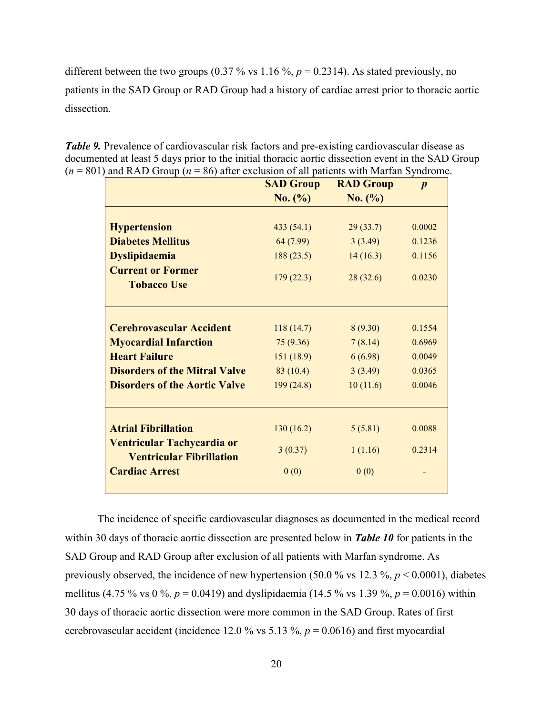different between the two groups  $(0.37\% \text{ vs } 1.16\%, p = 0.2314)$ . As stated previously, no patients in the SAD Group or RAD Group had a history of cardiac arrest prior to thoracic aortic dissection.

| <b>Table 9.</b> Prevalence of cardiovascular risk factors and pre-existing cardiovascular disease as |
|------------------------------------------------------------------------------------------------------|
| documented at least 5 days prior to the initial thoracic aortic dissection event in the SAD Group    |
| $(n = 801)$ and RAD Group $(n = 86)$ after exclusion of all patients with Marfan Syndrome.           |

|                                                               | <b>SAD Group</b> | <b>RAD Group</b> | $\boldsymbol{p}$ |
|---------------------------------------------------------------|------------------|------------------|------------------|
|                                                               | No. (%)          | No. (%)          |                  |
|                                                               |                  |                  |                  |
| <b>Hypertension</b>                                           | 433(54.1)        | 29(33.7)         | 0.0002           |
| <b>Diabetes Mellitus</b>                                      | 64 (7.99)        | 3(3.49)          | 0.1236           |
| <b>Dyslipidaemia</b>                                          | 188(23.5)        | 14(16.3)         | 0.1156           |
| <b>Current or Former</b><br><b>Tobacco Use</b>                | 179(22.3)        | 28(32.6)         | 0.0230           |
| <b>Cerebrovascular Accident</b>                               | 118(14.7)        | 8(9.30)          | 0.1554           |
| <b>Myocardial Infarction</b>                                  | 75 (9.36)        | 7(8.14)          | 0.6969           |
| <b>Heart Failure</b>                                          | 151 (18.9)       | 6(6.98)          | 0.0049           |
| <b>Disorders of the Mitral Valve</b>                          | 83(10.4)         | 3(3.49)          | 0.0365           |
| <b>Disorders of the Aortic Valve</b>                          | 199 (24.8)       | 10(11.6)         | 0.0046           |
| <b>Atrial Fibrillation</b>                                    | 130(16.2)        | 5(5.81)          | 0.0088           |
| Ventricular Tachycardia or<br><b>Ventricular Fibrillation</b> | 3(0.37)          | 1(1.16)          | 0.2314           |
| <b>Cardiac Arrest</b>                                         | 0(0)             | 0(0)             |                  |

The incidence of specific cardiovascular diagnoses as documented in the medical record within 30 days of thoracic aortic dissection are presented below in *Table 10* for patients in the SAD Group and RAD Group after exclusion of all patients with Marfan syndrome. As previously observed, the incidence of new hypertension (50.0 % vs 12.3 %, *p* < 0.0001), diabetes mellitus (4.75 % vs 0 %,  $p = 0.0419$ ) and dyslipidaemia (14.5 % vs 1.39 %,  $p = 0.0016$ ) within 30 days of thoracic aortic dissection were more common in the SAD Group. Rates of first cerebrovascular accident (incidence 12.0 % vs 5.13 %,  $p = 0.0616$ ) and first myocardial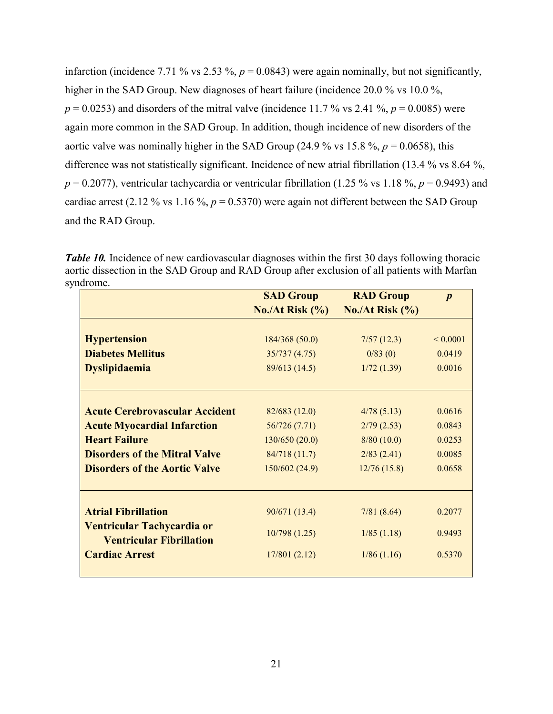infarction (incidence 7.71 % vs 2.53 %,  $p = 0.0843$ ) were again nominally, but not significantly, higher in the SAD Group. New diagnoses of heart failure (incidence 20.0 % vs 10.0 %,  $p = 0.0253$ ) and disorders of the mitral valve (incidence 11.7% vs 2.41%,  $p = 0.0085$ ) were again more common in the SAD Group. In addition, though incidence of new disorders of the aortic valve was nominally higher in the SAD Group (24.9 % vs 15.8 %,  $p = 0.0658$ ), this difference was not statistically significant. Incidence of new atrial fibrillation (13.4 % vs 8.64 %,  $p = 0.2077$ , ventricular tachycardia or ventricular fibrillation (1.25 % vs 1.18 %,  $p = 0.9493$ ) and cardiac arrest (2.12 % vs 1.16 %,  $p = 0.5370$ ) were again not different between the SAD Group and the RAD Group.

*Table 10.* Incidence of new cardiovascular diagnoses within the first 30 days following thoracic aortic dissection in the SAD Group and RAD Group after exclusion of all patients with Marfan syndrome.

|                                       | <b>SAD Group</b> | <b>RAD Group</b>                   | $\boldsymbol{p}$ |
|---------------------------------------|------------------|------------------------------------|------------------|
|                                       | No./At Risk (%)  | $\text{No}./\text{At Risk } (\% )$ |                  |
|                                       |                  |                                    |                  |
| <b>Hypertension</b>                   | 184/368 (50.0)   | 7/57(12.3)                         | ${}_{0.0001}$    |
| <b>Diabetes Mellitus</b>              | 35/737(4.75)     | 0/83(0)                            | 0.0419           |
| <b>Dyslipidaemia</b>                  | 89/613 (14.5)    | 1/72(1.39)                         | 0.0016           |
| <b>Acute Cerebrovascular Accident</b> | 82/683 (12.0)    | 4/78(5.13)                         | 0.0616           |
| <b>Acute Myocardial Infarction</b>    | 56/726 (7.71)    | 2/79(2.53)                         | 0.0843           |
| <b>Heart Failure</b>                  | 130/650 (20.0)   | 8/80(10.0)                         | 0.0253           |
| <b>Disorders of the Mitral Valve</b>  | 84/718 (11.7)    | 2/83(2.41)                         | 0.0085           |
| <b>Disorders of the Aortic Valve</b>  | 150/602 (24.9)   | 12/76(15.8)                        | 0.0658           |
| <b>Atrial Fibrillation</b>            | 90/671 (13.4)    | 7/81(8.64)                         | 0.2077           |
| Ventricular Tachycardia or            |                  |                                    |                  |
| <b>Ventricular Fibrillation</b>       | 10/798(1.25)     | 1/85(1.18)                         | 0.9493           |
| <b>Cardiac Arrest</b>                 | 17/801(2.12)     | 1/86(1.16)                         | 0.5370           |
|                                       |                  |                                    |                  |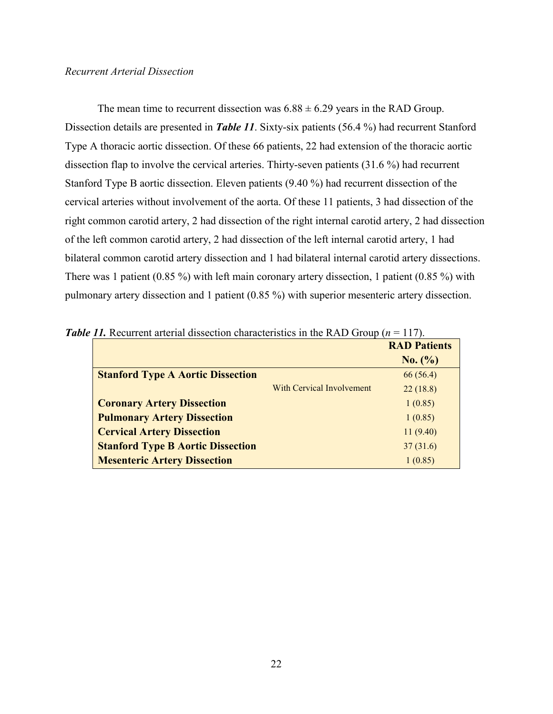#### *Recurrent Arterial Dissection*

The mean time to recurrent dissection was  $6.88 \pm 6.29$  years in the RAD Group. Dissection details are presented in *Table 11*. Sixty-six patients (56.4 %) had recurrent Stanford Type A thoracic aortic dissection. Of these 66 patients, 22 had extension of the thoracic aortic dissection flap to involve the cervical arteries. Thirty-seven patients (31.6 %) had recurrent Stanford Type B aortic dissection. Eleven patients (9.40 %) had recurrent dissection of the cervical arteries without involvement of the aorta. Of these 11 patients, 3 had dissection of the right common carotid artery, 2 had dissection of the right internal carotid artery, 2 had dissection of the left common carotid artery, 2 had dissection of the left internal carotid artery, 1 had bilateral common carotid artery dissection and 1 had bilateral internal carotid artery dissections. There was 1 patient (0.85 %) with left main coronary artery dissection, 1 patient (0.85 %) with pulmonary artery dissection and 1 patient (0.85 %) with superior mesenteric artery dissection.

|                                          |                           | <b>RAD Patients</b> |
|------------------------------------------|---------------------------|---------------------|
|                                          |                           | No. (%)             |
| <b>Stanford Type A Aortic Dissection</b> |                           | 66(56.4)            |
|                                          | With Cervical Involvement | 22(18.8)            |
| <b>Coronary Artery Dissection</b>        |                           | 1(0.85)             |
| <b>Pulmonary Artery Dissection</b>       |                           | 1(0.85)             |
| <b>Cervical Artery Dissection</b>        |                           | 11(9.40)            |
| <b>Stanford Type B Aortic Dissection</b> |                           | 37(31.6)            |
| <b>Mesenteric Artery Dissection</b>      |                           | 1(0.85)             |

*Table 11.* Recurrent arterial dissection characteristics in the RAD Group ( $n = 117$ ).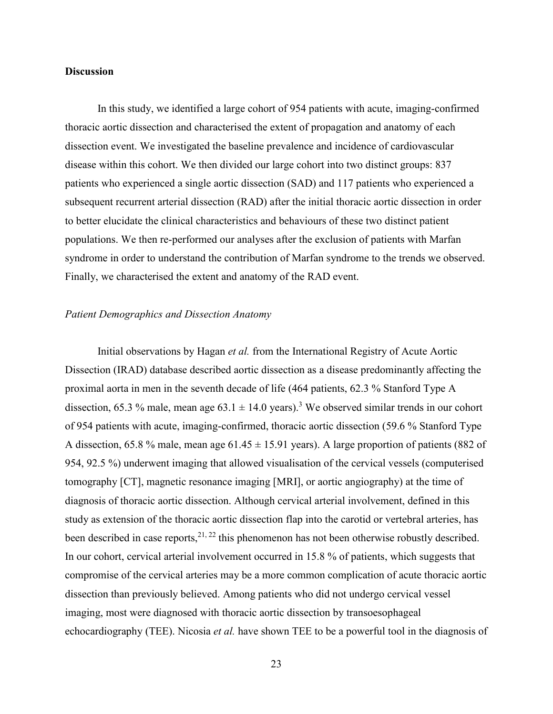#### **Discussion**

In this study, we identified a large cohort of 954 patients with acute, imaging-confirmed thoracic aortic dissection and characterised the extent of propagation and anatomy of each dissection event. We investigated the baseline prevalence and incidence of cardiovascular disease within this cohort. We then divided our large cohort into two distinct groups: 837 patients who experienced a single aortic dissection (SAD) and 117 patients who experienced a subsequent recurrent arterial dissection (RAD) after the initial thoracic aortic dissection in order to better elucidate the clinical characteristics and behaviours of these two distinct patient populations. We then re-performed our analyses after the exclusion of patients with Marfan syndrome in order to understand the contribution of Marfan syndrome to the trends we observed. Finally, we characterised the extent and anatomy of the RAD event.

#### *Patient Demographics and Dissection Anatomy*

Initial observations by Hagan *et al.* from the International Registry of Acute Aortic Dissection (IRAD) database described aortic dissection as a disease predominantly affecting the proximal aorta in men in the seventh decade of life (464 patients, 62.3 % Stanford Type A dissection, 65.[3](#page-35-2) % male, mean age  $63.1 \pm 14.0$  years).<sup>3</sup> We observed similar trends in our cohort of 954 patients with acute, imaging-confirmed, thoracic aortic dissection (59.6 % Stanford Type A dissection, 65.8 % male, mean age  $61.45 \pm 15.91$  years). A large proportion of patients (882 of 954, 92.5 %) underwent imaging that allowed visualisation of the cervical vessels (computerised tomography [CT], magnetic resonance imaging [MRI], or aortic angiography) at the time of diagnosis of thoracic aortic dissection. Although cervical arterial involvement, defined in this study as extension of the thoracic aortic dissection flap into the carotid or vertebral arteries, has been described in case reports,  $2^{1, 22}$  $2^{1, 22}$  $2^{1, 22}$  this phenomenon has not been otherwise robustly described. In our cohort, cervical arterial involvement occurred in 15.8 % of patients, which suggests that compromise of the cervical arteries may be a more common complication of acute thoracic aortic dissection than previously believed. Among patients who did not undergo cervical vessel imaging, most were diagnosed with thoracic aortic dissection by transoesophageal echocardiography (TEE). Nicosia *et al.* have shown TEE to be a powerful tool in the diagnosis of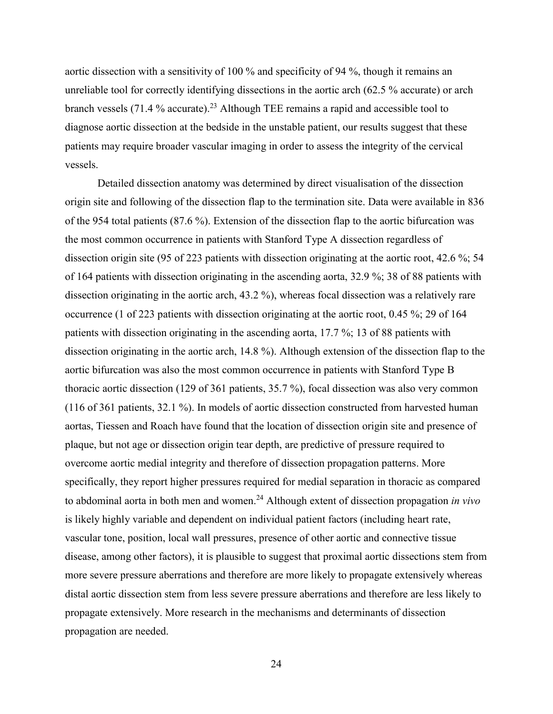aortic dissection with a sensitivity of 100 % and specificity of 94 %, though it remains an unreliable tool for correctly identifying dissections in the aortic arch (62.5 % accurate) or arch branch vessels  $(71.4\%$  accurate).<sup>[23](#page-36-12)</sup> Although TEE remains a rapid and accessible tool to diagnose aortic dissection at the bedside in the unstable patient, our results suggest that these patients may require broader vascular imaging in order to assess the integrity of the cervical vessels.

Detailed dissection anatomy was determined by direct visualisation of the dissection origin site and following of the dissection flap to the termination site. Data were available in 836 of the 954 total patients (87.6 %). Extension of the dissection flap to the aortic bifurcation was the most common occurrence in patients with Stanford Type A dissection regardless of dissection origin site (95 of 223 patients with dissection originating at the aortic root, 42.6 %; 54 of 164 patients with dissection originating in the ascending aorta, 32.9 %; 38 of 88 patients with dissection originating in the aortic arch, 43.2 %), whereas focal dissection was a relatively rare occurrence (1 of 223 patients with dissection originating at the aortic root, 0.45 %; 29 of 164 patients with dissection originating in the ascending aorta, 17.7 %; 13 of 88 patients with dissection originating in the aortic arch, 14.8 %). Although extension of the dissection flap to the aortic bifurcation was also the most common occurrence in patients with Stanford Type B thoracic aortic dissection (129 of 361 patients, 35.7 %), focal dissection was also very common (116 of 361 patients, 32.1 %). In models of aortic dissection constructed from harvested human aortas, Tiessen and Roach have found that the location of dissection origin site and presence of plaque, but not age or dissection origin tear depth, are predictive of pressure required to overcome aortic medial integrity and therefore of dissection propagation patterns. More specifically, they report higher pressures required for medial separation in thoracic as compared to abdominal aorta in both men and women.[24](#page-36-13) Although extent of dissection propagation *in vivo* is likely highly variable and dependent on individual patient factors (including heart rate, vascular tone, position, local wall pressures, presence of other aortic and connective tissue disease, among other factors), it is plausible to suggest that proximal aortic dissections stem from more severe pressure aberrations and therefore are more likely to propagate extensively whereas distal aortic dissection stem from less severe pressure aberrations and therefore are less likely to propagate extensively. More research in the mechanisms and determinants of dissection propagation are needed.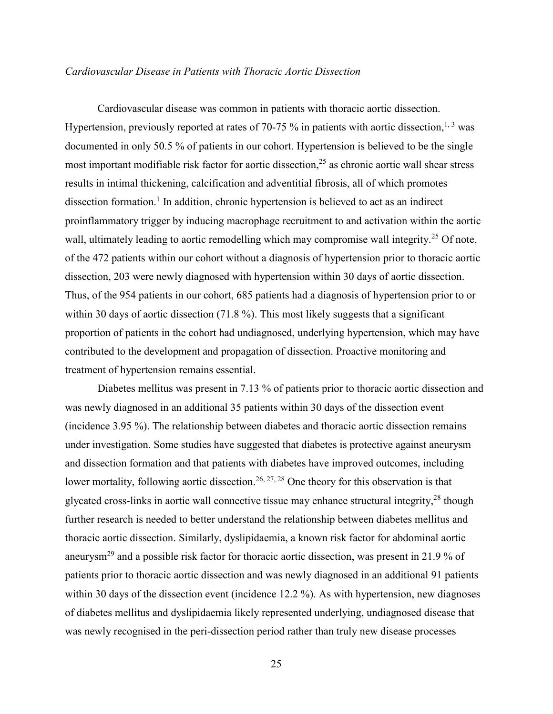#### *Cardiovascular Disease in Patients with Thoracic Aortic Dissection*

Cardiovascular disease was common in patients with thoracic aortic dissection. Hypertension, previously reported at rates of 70-75  $\%$  in patients with aortic dissection,<sup>[1,](#page-35-0) [3](#page-35-2)</sup> was documented in only 50.5 % of patients in our cohort. Hypertension is believed to be the single most important modifiable risk factor for aortic dissection,<sup>[25](#page-37-0)</sup> as chronic aortic wall shear stress results in intimal thickening, calcification and adventitial fibrosis, all of which promotes dissection formation.<sup>[1](#page-35-0)</sup> In addition, chronic hypertension is believed to act as an indirect proinflammatory trigger by inducing macrophage recruitment to and activation within the aortic wall, ultimately leading to aortic remodelling which may compromise wall integrity.<sup>[25](#page-37-0)</sup> Of note, of the 472 patients within our cohort without a diagnosis of hypertension prior to thoracic aortic dissection, 203 were newly diagnosed with hypertension within 30 days of aortic dissection. Thus, of the 954 patients in our cohort, 685 patients had a diagnosis of hypertension prior to or within 30 days of aortic dissection (71.8 %). This most likely suggests that a significant proportion of patients in the cohort had undiagnosed, underlying hypertension, which may have contributed to the development and propagation of dissection. Proactive monitoring and treatment of hypertension remains essential.

Diabetes mellitus was present in 7.13 % of patients prior to thoracic aortic dissection and was newly diagnosed in an additional 35 patients within 30 days of the dissection event (incidence 3.95 %). The relationship between diabetes and thoracic aortic dissection remains under investigation. Some studies have suggested that diabetes is protective against aneurysm and dissection formation and that patients with diabetes have improved outcomes, including lower mortality, following aortic dissection.<sup>[26,](#page-37-1) [27,](#page-37-2) [28](#page-37-3)</sup> One theory for this observation is that glycated cross-links in aortic wall connective tissue may enhance structural integrity,<sup>[28](#page-37-3)</sup> though further research is needed to better understand the relationship between diabetes mellitus and thoracic aortic dissection. Similarly, dyslipidaemia, a known risk factor for abdominal aortic aneurysm[29](#page-37-4) and a possible risk factor for thoracic aortic dissection, was present in 21.9 % of patients prior to thoracic aortic dissection and was newly diagnosed in an additional 91 patients within 30 days of the dissection event (incidence 12.2 %). As with hypertension, new diagnoses of diabetes mellitus and dyslipidaemia likely represented underlying, undiagnosed disease that was newly recognised in the peri-dissection period rather than truly new disease processes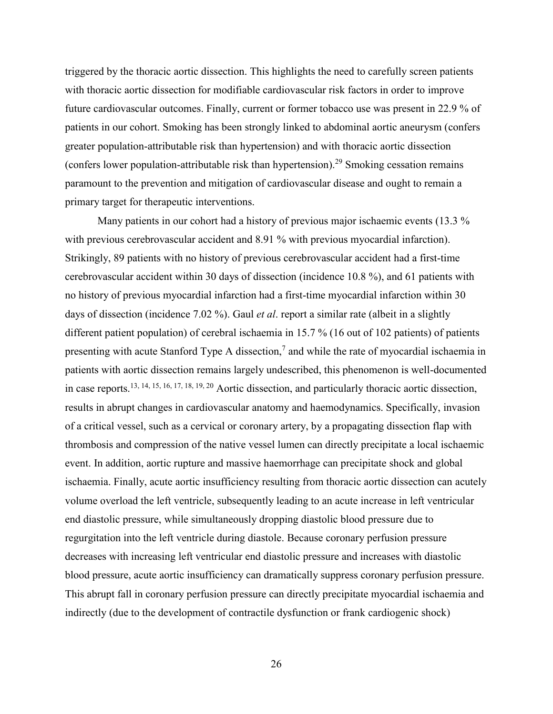triggered by the thoracic aortic dissection. This highlights the need to carefully screen patients with thoracic aortic dissection for modifiable cardiovascular risk factors in order to improve future cardiovascular outcomes. Finally, current or former tobacco use was present in 22.9 % of patients in our cohort. Smoking has been strongly linked to abdominal aortic aneurysm (confers greater population-attributable risk than hypertension) and with thoracic aortic dissection (confers lower population-attributable risk than hypertension).[29](#page-37-4) Smoking cessation remains paramount to the prevention and mitigation of cardiovascular disease and ought to remain a primary target for therapeutic interventions.

Many patients in our cohort had a history of previous major ischaemic events (13.3 % with previous cerebrovascular accident and 8.91 % with previous myocardial infarction). Strikingly, 89 patients with no history of previous cerebrovascular accident had a first-time cerebrovascular accident within 30 days of dissection (incidence 10.8 %), and 61 patients with no history of previous myocardial infarction had a first-time myocardial infarction within 30 days of dissection (incidence 7.02 %). Gaul *et al*. report a similar rate (albeit in a slightly different patient population) of cerebral ischaemia in 15.7 % (16 out of 102 patients) of patients presenting with acute Stanford Type A dissection,<sup>[7](#page-35-6)</sup> and while the rate of myocardial ischaemia in patients with aortic dissection remains largely undescribed, this phenomenon is well-documented in case reports.[13,](#page-36-2) [14,](#page-36-3) [15,](#page-36-4) [16,](#page-36-5) [17,](#page-36-6) [18,](#page-36-7) [19,](#page-36-8) [20](#page-36-9) Aortic dissection, and particularly thoracic aortic dissection, results in abrupt changes in cardiovascular anatomy and haemodynamics. Specifically, invasion of a critical vessel, such as a cervical or coronary artery, by a propagating dissection flap with thrombosis and compression of the native vessel lumen can directly precipitate a local ischaemic event. In addition, aortic rupture and massive haemorrhage can precipitate shock and global ischaemia. Finally, acute aortic insufficiency resulting from thoracic aortic dissection can acutely volume overload the left ventricle, subsequently leading to an acute increase in left ventricular end diastolic pressure, while simultaneously dropping diastolic blood pressure due to regurgitation into the left ventricle during diastole. Because coronary perfusion pressure decreases with increasing left ventricular end diastolic pressure and increases with diastolic blood pressure, acute aortic insufficiency can dramatically suppress coronary perfusion pressure. This abrupt fall in coronary perfusion pressure can directly precipitate myocardial ischaemia and indirectly (due to the development of contractile dysfunction or frank cardiogenic shock)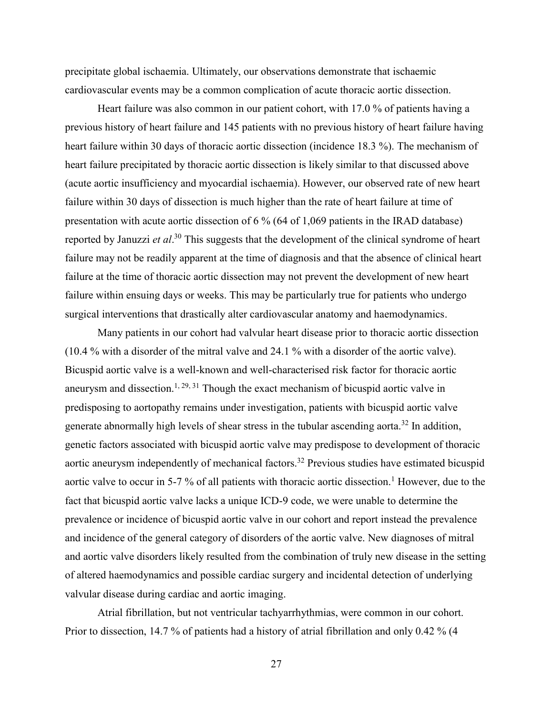precipitate global ischaemia. Ultimately, our observations demonstrate that ischaemic cardiovascular events may be a common complication of acute thoracic aortic dissection.

Heart failure was also common in our patient cohort, with 17.0 % of patients having a previous history of heart failure and 145 patients with no previous history of heart failure having heart failure within 30 days of thoracic aortic dissection (incidence 18.3 %). The mechanism of heart failure precipitated by thoracic aortic dissection is likely similar to that discussed above (acute aortic insufficiency and myocardial ischaemia). However, our observed rate of new heart failure within 30 days of dissection is much higher than the rate of heart failure at time of presentation with acute aortic dissection of 6 % (64 of 1,069 patients in the IRAD database) reported by Januzzi *et al*. [30](#page-37-5) This suggests that the development of the clinical syndrome of heart failure may not be readily apparent at the time of diagnosis and that the absence of clinical heart failure at the time of thoracic aortic dissection may not prevent the development of new heart failure within ensuing days or weeks. This may be particularly true for patients who undergo surgical interventions that drastically alter cardiovascular anatomy and haemodynamics.

Many patients in our cohort had valvular heart disease prior to thoracic aortic dissection (10.4 % with a disorder of the mitral valve and 24.1 % with a disorder of the aortic valve). Bicuspid aortic valve is a well-known and well-characterised risk factor for thoracic aortic aneurysm and dissection.<sup>[1,](#page-35-0) [29,](#page-37-4) [31](#page-37-6)</sup> Though the exact mechanism of bicuspid aortic valve in predisposing to aortopathy remains under investigation, patients with bicuspid aortic valve generate abnormally high levels of shear stress in the tubular ascending aorta.<sup>[32](#page-37-7)</sup> In addition, genetic factors associated with bicuspid aortic valve may predispose to development of thoracic aortic aneurysm independently of mechanical factors.<sup>[32](#page-37-7)</sup> Previous studies have estimated bicuspid aortic valve to occur in 5-7 % of all patients with thoracic aortic dissection.<sup>[1](#page-35-0)</sup> However, due to the fact that bicuspid aortic valve lacks a unique ICD-9 code, we were unable to determine the prevalence or incidence of bicuspid aortic valve in our cohort and report instead the prevalence and incidence of the general category of disorders of the aortic valve. New diagnoses of mitral and aortic valve disorders likely resulted from the combination of truly new disease in the setting of altered haemodynamics and possible cardiac surgery and incidental detection of underlying valvular disease during cardiac and aortic imaging.

Atrial fibrillation, but not ventricular tachyarrhythmias, were common in our cohort. Prior to dissection, 14.7 % of patients had a history of atrial fibrillation and only 0.42 % (4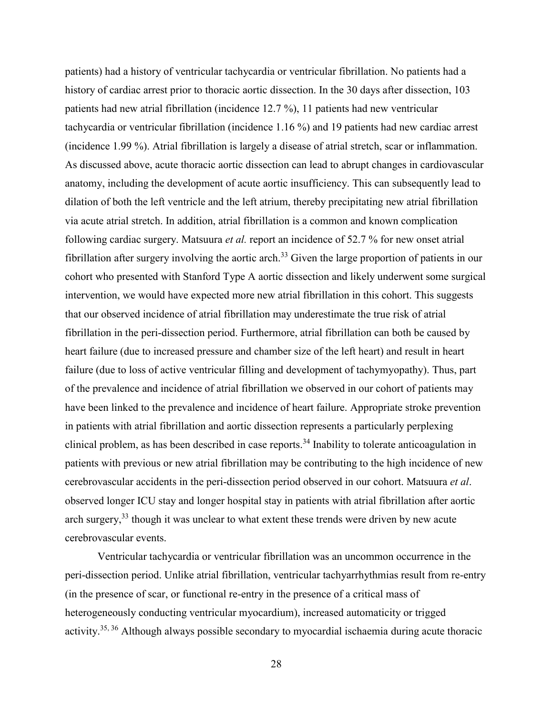patients) had a history of ventricular tachycardia or ventricular fibrillation. No patients had a history of cardiac arrest prior to thoracic aortic dissection. In the 30 days after dissection, 103 patients had new atrial fibrillation (incidence 12.7 %), 11 patients had new ventricular tachycardia or ventricular fibrillation (incidence 1.16 %) and 19 patients had new cardiac arrest (incidence 1.99 %). Atrial fibrillation is largely a disease of atrial stretch, scar or inflammation. As discussed above, acute thoracic aortic dissection can lead to abrupt changes in cardiovascular anatomy, including the development of acute aortic insufficiency. This can subsequently lead to dilation of both the left ventricle and the left atrium, thereby precipitating new atrial fibrillation via acute atrial stretch. In addition, atrial fibrillation is a common and known complication following cardiac surgery. Matsuura *et al.* report an incidence of 52.7 % for new onset atrial fibrillation after surgery involving the aortic arch.<sup>[33](#page-37-8)</sup> Given the large proportion of patients in our cohort who presented with Stanford Type A aortic dissection and likely underwent some surgical intervention, we would have expected more new atrial fibrillation in this cohort. This suggests that our observed incidence of atrial fibrillation may underestimate the true risk of atrial fibrillation in the peri-dissection period. Furthermore, atrial fibrillation can both be caused by heart failure (due to increased pressure and chamber size of the left heart) and result in heart failure (due to loss of active ventricular filling and development of tachymyopathy). Thus, part of the prevalence and incidence of atrial fibrillation we observed in our cohort of patients may have been linked to the prevalence and incidence of heart failure. Appropriate stroke prevention in patients with atrial fibrillation and aortic dissection represents a particularly perplexing clinical problem, as has been described in case reports.[34](#page-37-9) Inability to tolerate anticoagulation in patients with previous or new atrial fibrillation may be contributing to the high incidence of new cerebrovascular accidents in the peri-dissection period observed in our cohort. Matsuura *et al*. observed longer ICU stay and longer hospital stay in patients with atrial fibrillation after aortic arch surgery,<sup>[33](#page-37-8)</sup> though it was unclear to what extent these trends were driven by new acute cerebrovascular events.

Ventricular tachycardia or ventricular fibrillation was an uncommon occurrence in the peri-dissection period. Unlike atrial fibrillation, ventricular tachyarrhythmias result from re-entry (in the presence of scar, or functional re-entry in the presence of a critical mass of heterogeneously conducting ventricular myocardium), increased automaticity or trigged activity.<sup>[35,](#page-37-10) [36](#page-37-11)</sup> Although always possible secondary to myocardial ischaemia during acute thoracic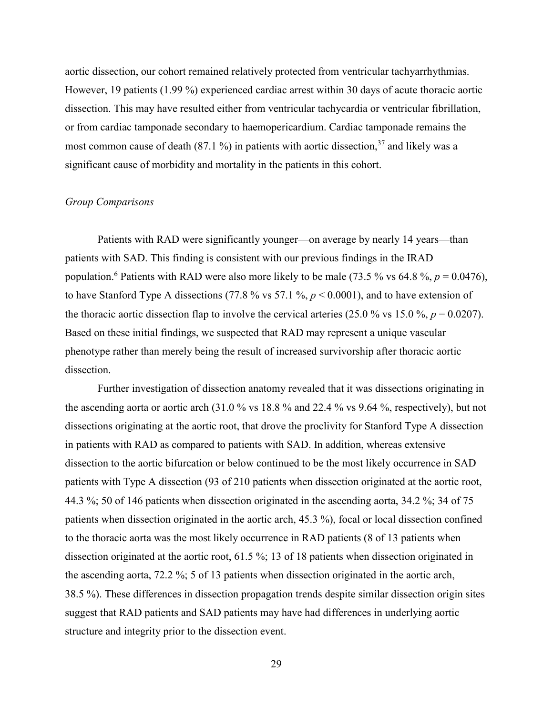aortic dissection, our cohort remained relatively protected from ventricular tachyarrhythmias. However, 19 patients (1.99 %) experienced cardiac arrest within 30 days of acute thoracic aortic dissection. This may have resulted either from ventricular tachycardia or ventricular fibrillation, or from cardiac tamponade secondary to haemopericardium. Cardiac tamponade remains the most common cause of death (87.1 %) in patients with aortic dissection.<sup>[37](#page-37-12)</sup> and likely was a significant cause of morbidity and mortality in the patients in this cohort.

#### *Group Comparisons*

Patients with RAD were significantly younger—on average by nearly 14 years—than patients with SAD. This finding is consistent with our previous findings in the IRAD population.<sup>[6](#page-35-5)</sup> Patients with RAD were also more likely to be male (73.5 % vs 64.8 %,  $p = 0.0476$ ), to have Stanford Type A dissections (77.8  $\%$  vs 57.1  $\%$ ,  $p \le 0.0001$ ), and to have extension of the thoracic aortic dissection flap to involve the cervical arteries (25.0 % vs 15.0 %,  $p = 0.0207$ ). Based on these initial findings, we suspected that RAD may represent a unique vascular phenotype rather than merely being the result of increased survivorship after thoracic aortic dissection.

Further investigation of dissection anatomy revealed that it was dissections originating in the ascending aorta or aortic arch (31.0 % vs 18.8 % and 22.4 % vs 9.64 %, respectively), but not dissections originating at the aortic root, that drove the proclivity for Stanford Type A dissection in patients with RAD as compared to patients with SAD. In addition, whereas extensive dissection to the aortic bifurcation or below continued to be the most likely occurrence in SAD patients with Type A dissection (93 of 210 patients when dissection originated at the aortic root, 44.3 %; 50 of 146 patients when dissection originated in the ascending aorta, 34.2 %; 34 of 75 patients when dissection originated in the aortic arch, 45.3 %), focal or local dissection confined to the thoracic aorta was the most likely occurrence in RAD patients (8 of 13 patients when dissection originated at the aortic root, 61.5 %; 13 of 18 patients when dissection originated in the ascending aorta, 72.2 %; 5 of 13 patients when dissection originated in the aortic arch, 38.5 %). These differences in dissection propagation trends despite similar dissection origin sites suggest that RAD patients and SAD patients may have had differences in underlying aortic structure and integrity prior to the dissection event.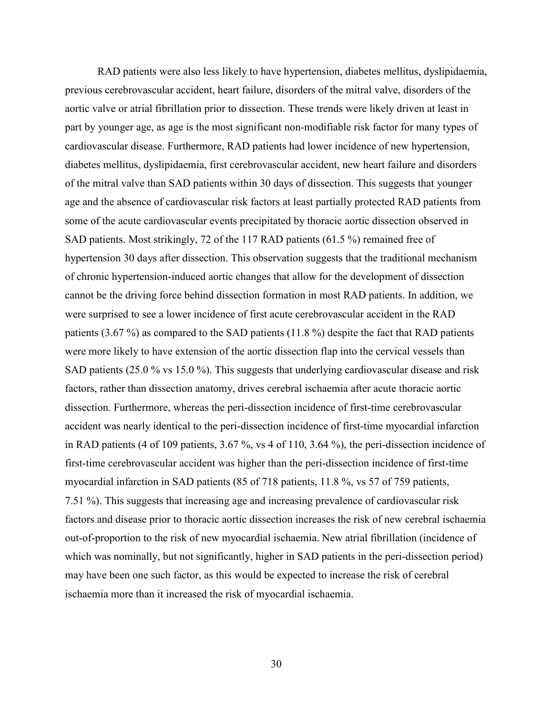RAD patients were also less likely to have hypertension, diabetes mellitus, dyslipidaemia, previous cerebrovascular accident, heart failure, disorders of the mitral valve, disorders of the aortic valve or atrial fibrillation prior to dissection. These trends were likely driven at least in part by younger age, as age is the most significant non-modifiable risk factor for many types of cardiovascular disease. Furthermore, RAD patients had lower incidence of new hypertension, diabetes mellitus, dyslipidaemia, first cerebrovascular accident, new heart failure and disorders of the mitral valve than SAD patients within 30 days of dissection. This suggests that younger age and the absence of cardiovascular risk factors at least partially protected RAD patients from some of the acute cardiovascular events precipitated by thoracic aortic dissection observed in SAD patients. Most strikingly, 72 of the 117 RAD patients (61.5 %) remained free of hypertension 30 days after dissection. This observation suggests that the traditional mechanism of chronic hypertension-induced aortic changes that allow for the development of dissection cannot be the driving force behind dissection formation in most RAD patients. In addition, we were surprised to see a lower incidence of first acute cerebrovascular accident in the RAD patients (3.67 %) as compared to the SAD patients (11.8 %) despite the fact that RAD patients were more likely to have extension of the aortic dissection flap into the cervical vessels than SAD patients (25.0 % vs 15.0 %). This suggests that underlying cardiovascular disease and risk factors, rather than dissection anatomy, drives cerebral ischaemia after acute thoracic aortic dissection. Furthermore, whereas the peri-dissection incidence of first-time cerebrovascular accident was nearly identical to the peri-dissection incidence of first-time myocardial infarction in RAD patients (4 of 109 patients, 3.67 %, vs 4 of 110, 3.64 %), the peri-dissection incidence of first-time cerebrovascular accident was higher than the peri-dissection incidence of first-time myocardial infarction in SAD patients (85 of 718 patients, 11.8 %, vs 57 of 759 patients, 7.51 %). This suggests that increasing age and increasing prevalence of cardiovascular risk factors and disease prior to thoracic aortic dissection increases the risk of new cerebral ischaemia out-of-proportion to the risk of new myocardial ischaemia. New atrial fibrillation (incidence of which was nominally, but not significantly, higher in SAD patients in the peri-dissection period) may have been one such factor, as this would be expected to increase the risk of cerebral ischaemia more than it increased the risk of myocardial ischaemia.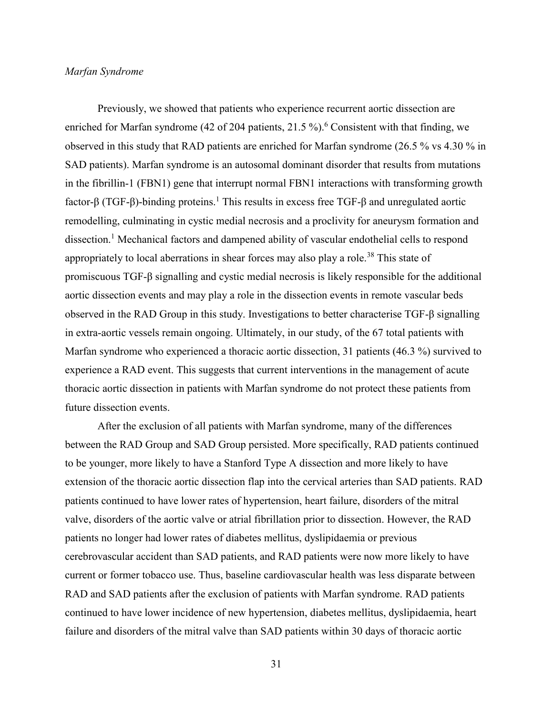#### *Marfan Syndrome*

Previously, we showed that patients who experience recurrent aortic dissection are enriched for Marfan syndrome (42 of 204 patients, 21.5 %).<sup>[6](#page-35-5)</sup> Consistent with that finding, we observed in this study that RAD patients are enriched for Marfan syndrome (26.5 % vs 4.30 % in SAD patients). Marfan syndrome is an autosomal dominant disorder that results from mutations in the fibrillin-1 (FBN1) gene that interrupt normal FBN1 interactions with transforming growth factor-β (TGF-β)-binding proteins.<sup>[1](#page-35-0)</sup> This results in excess free TGF-β and unregulated aortic remodelling, culminating in cystic medial necrosis and a proclivity for aneurysm formation and dissection.<sup>[1](#page-35-0)</sup> Mechanical factors and dampened ability of vascular endothelial cells to respond appropriately to local aberrations in shear forces may also play a role.<sup>[38](#page-37-13)</sup> This state of promiscuous TGF-β signalling and cystic medial necrosis is likely responsible for the additional aortic dissection events and may play a role in the dissection events in remote vascular beds observed in the RAD Group in this study. Investigations to better characterise TGF-β signalling in extra-aortic vessels remain ongoing. Ultimately, in our study, of the 67 total patients with Marfan syndrome who experienced a thoracic aortic dissection, 31 patients (46.3 %) survived to experience a RAD event. This suggests that current interventions in the management of acute thoracic aortic dissection in patients with Marfan syndrome do not protect these patients from future dissection events.

After the exclusion of all patients with Marfan syndrome, many of the differences between the RAD Group and SAD Group persisted. More specifically, RAD patients continued to be younger, more likely to have a Stanford Type A dissection and more likely to have extension of the thoracic aortic dissection flap into the cervical arteries than SAD patients. RAD patients continued to have lower rates of hypertension, heart failure, disorders of the mitral valve, disorders of the aortic valve or atrial fibrillation prior to dissection. However, the RAD patients no longer had lower rates of diabetes mellitus, dyslipidaemia or previous cerebrovascular accident than SAD patients, and RAD patients were now more likely to have current or former tobacco use. Thus, baseline cardiovascular health was less disparate between RAD and SAD patients after the exclusion of patients with Marfan syndrome. RAD patients continued to have lower incidence of new hypertension, diabetes mellitus, dyslipidaemia, heart failure and disorders of the mitral valve than SAD patients within 30 days of thoracic aortic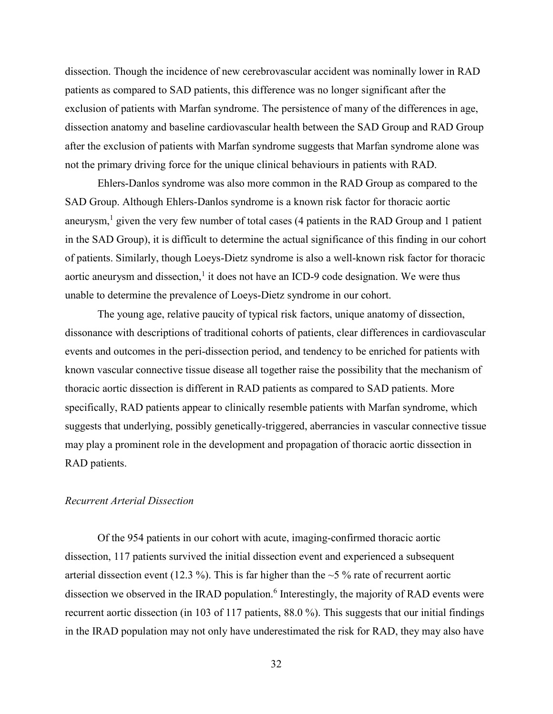dissection. Though the incidence of new cerebrovascular accident was nominally lower in RAD patients as compared to SAD patients, this difference was no longer significant after the exclusion of patients with Marfan syndrome. The persistence of many of the differences in age, dissection anatomy and baseline cardiovascular health between the SAD Group and RAD Group after the exclusion of patients with Marfan syndrome suggests that Marfan syndrome alone was not the primary driving force for the unique clinical behaviours in patients with RAD.

Ehlers-Danlos syndrome was also more common in the RAD Group as compared to the SAD Group. Although Ehlers-Danlos syndrome is a known risk factor for thoracic aortic aneurysm,<sup>[1](#page-35-0)</sup> given the very few number of total cases (4 patients in the RAD Group and 1 patient in the SAD Group), it is difficult to determine the actual significance of this finding in our cohort of patients. Similarly, though Loeys-Dietz syndrome is also a well-known risk factor for thoracic aortic aneurysm and dissection, $<sup>1</sup>$  $<sup>1</sup>$  $<sup>1</sup>$  it does not have an ICD-9 code designation. We were thus</sup> unable to determine the prevalence of Loeys-Dietz syndrome in our cohort.

The young age, relative paucity of typical risk factors, unique anatomy of dissection, dissonance with descriptions of traditional cohorts of patients, clear differences in cardiovascular events and outcomes in the peri-dissection period, and tendency to be enriched for patients with known vascular connective tissue disease all together raise the possibility that the mechanism of thoracic aortic dissection is different in RAD patients as compared to SAD patients. More specifically, RAD patients appear to clinically resemble patients with Marfan syndrome, which suggests that underlying, possibly genetically-triggered, aberrancies in vascular connective tissue may play a prominent role in the development and propagation of thoracic aortic dissection in RAD patients.

## *Recurrent Arterial Dissection*

Of the 954 patients in our cohort with acute, imaging-confirmed thoracic aortic dissection, 117 patients survived the initial dissection event and experienced a subsequent arterial dissection event (12.3 %). This is far higher than the  $\sim$  5 % rate of recurrent aortic dissection we observed in the IRAD population.<sup>[6](#page-35-5)</sup> Interestingly, the majority of RAD events were recurrent aortic dissection (in 103 of 117 patients, 88.0 %). This suggests that our initial findings in the IRAD population may not only have underestimated the risk for RAD, they may also have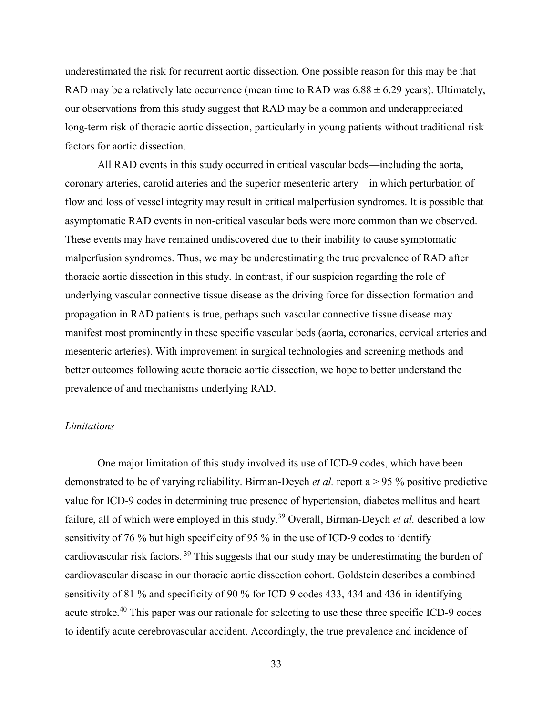underestimated the risk for recurrent aortic dissection. One possible reason for this may be that RAD may be a relatively late occurrence (mean time to RAD was  $6.88 \pm 6.29$  years). Ultimately, our observations from this study suggest that RAD may be a common and underappreciated long-term risk of thoracic aortic dissection, particularly in young patients without traditional risk factors for aortic dissection.

All RAD events in this study occurred in critical vascular beds—including the aorta, coronary arteries, carotid arteries and the superior mesenteric artery—in which perturbation of flow and loss of vessel integrity may result in critical malperfusion syndromes. It is possible that asymptomatic RAD events in non-critical vascular beds were more common than we observed. These events may have remained undiscovered due to their inability to cause symptomatic malperfusion syndromes. Thus, we may be underestimating the true prevalence of RAD after thoracic aortic dissection in this study. In contrast, if our suspicion regarding the role of underlying vascular connective tissue disease as the driving force for dissection formation and propagation in RAD patients is true, perhaps such vascular connective tissue disease may manifest most prominently in these specific vascular beds (aorta, coronaries, cervical arteries and mesenteric arteries). With improvement in surgical technologies and screening methods and better outcomes following acute thoracic aortic dissection, we hope to better understand the prevalence of and mechanisms underlying RAD.

#### *Limitations*

One major limitation of this study involved its use of ICD-9 codes, which have been demonstrated to be of varying reliability. Birman-Deych *et al.* report a > 95 % positive predictive value for ICD-9 codes in determining true presence of hypertension, diabetes mellitus and heart failure, all of which were employed in this study.[39](#page-38-0) Overall, Birman-Deych *et al.* described a low sensitivity of 76 % but high specificity of 95 % in the use of ICD-9 codes to identify cardiovascular risk factors. [39](#page-38-0) This suggests that our study may be underestimating the burden of cardiovascular disease in our thoracic aortic dissection cohort. Goldstein describes a combined sensitivity of 81 % and specificity of 90 % for ICD-9 codes 433, 434 and 436 in identifying acute stroke.[40](#page-38-1) This paper was our rationale for selecting to use these three specific ICD-9 codes to identify acute cerebrovascular accident. Accordingly, the true prevalence and incidence of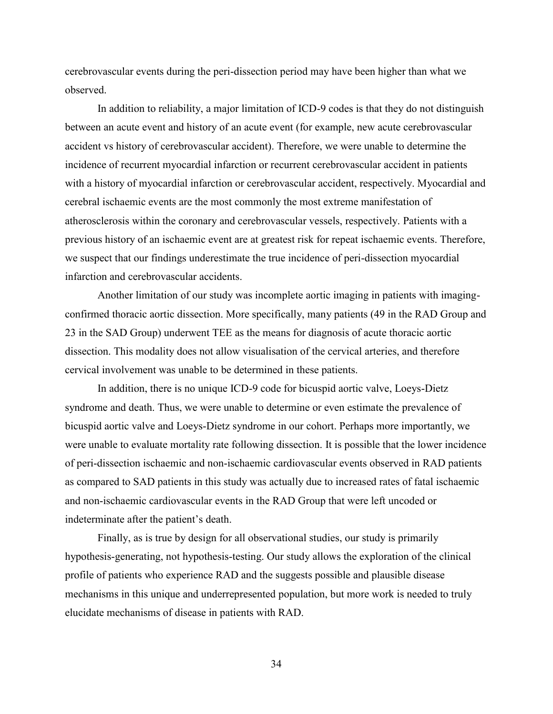cerebrovascular events during the peri-dissection period may have been higher than what we observed.

In addition to reliability, a major limitation of ICD-9 codes is that they do not distinguish between an acute event and history of an acute event (for example, new acute cerebrovascular accident vs history of cerebrovascular accident). Therefore, we were unable to determine the incidence of recurrent myocardial infarction or recurrent cerebrovascular accident in patients with a history of myocardial infarction or cerebrovascular accident, respectively. Myocardial and cerebral ischaemic events are the most commonly the most extreme manifestation of atherosclerosis within the coronary and cerebrovascular vessels, respectively. Patients with a previous history of an ischaemic event are at greatest risk for repeat ischaemic events. Therefore, we suspect that our findings underestimate the true incidence of peri-dissection myocardial infarction and cerebrovascular accidents.

Another limitation of our study was incomplete aortic imaging in patients with imagingconfirmed thoracic aortic dissection. More specifically, many patients (49 in the RAD Group and 23 in the SAD Group) underwent TEE as the means for diagnosis of acute thoracic aortic dissection. This modality does not allow visualisation of the cervical arteries, and therefore cervical involvement was unable to be determined in these patients.

In addition, there is no unique ICD-9 code for bicuspid aortic valve, Loeys-Dietz syndrome and death. Thus, we were unable to determine or even estimate the prevalence of bicuspid aortic valve and Loeys-Dietz syndrome in our cohort. Perhaps more importantly, we were unable to evaluate mortality rate following dissection. It is possible that the lower incidence of peri-dissection ischaemic and non-ischaemic cardiovascular events observed in RAD patients as compared to SAD patients in this study was actually due to increased rates of fatal ischaemic and non-ischaemic cardiovascular events in the RAD Group that were left uncoded or indeterminate after the patient's death.

Finally, as is true by design for all observational studies, our study is primarily hypothesis-generating, not hypothesis-testing. Our study allows the exploration of the clinical profile of patients who experience RAD and the suggests possible and plausible disease mechanisms in this unique and underrepresented population, but more work is needed to truly elucidate mechanisms of disease in patients with RAD.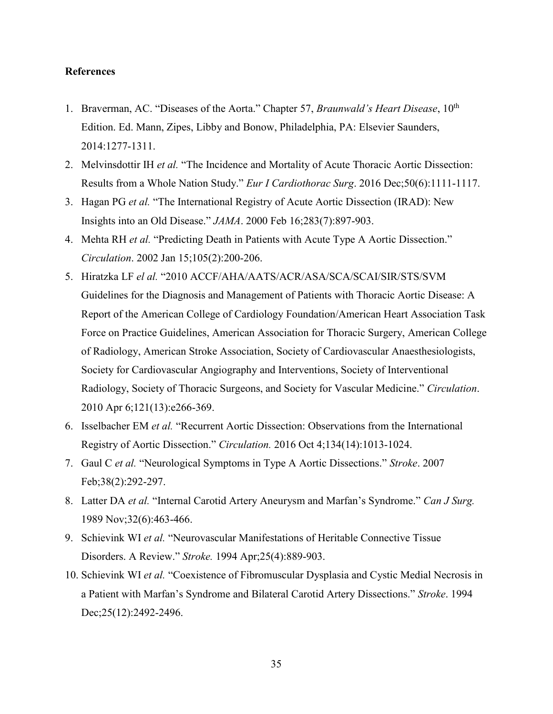## **References**

- <span id="page-35-0"></span>1. Braverman, AC. "Diseases of the Aorta." Chapter 57, *Braunwald's Heart Disease*, 10<sup>th</sup> Edition. Ed. Mann, Zipes, Libby and Bonow, Philadelphia, PA: Elsevier Saunders, 2014:1277-1311.
- <span id="page-35-1"></span>2. Melvinsdottir IH *et al.* "The Incidence and Mortality of Acute Thoracic Aortic Dissection: Results from a Whole Nation Study." *Eur I Cardiothorac Surg*. 2016 Dec;50(6):1111-1117.
- <span id="page-35-2"></span>3. Hagan PG *et al.* "The International Registry of Acute Aortic Dissection (IRAD): New Insights into an Old Disease." *JAMA*. 2000 Feb 16;283(7):897-903.
- <span id="page-35-3"></span>4. Mehta RH *et al.* "Predicting Death in Patients with Acute Type A Aortic Dissection." *Circulation*. 2002 Jan 15;105(2):200-206.
- <span id="page-35-4"></span>5. Hiratzka LF *el al.* "2010 ACCF/AHA/AATS/ACR/ASA/SCA/SCAI/SIR/STS/SVM Guidelines for the Diagnosis and Management of Patients with Thoracic Aortic Disease: A Report of the American College of Cardiology Foundation/American Heart Association Task Force on Practice Guidelines, American Association for Thoracic Surgery, American College of Radiology, American Stroke Association, Society of Cardiovascular Anaesthesiologists, Society for Cardiovascular Angiography and Interventions, Society of Interventional Radiology, Society of Thoracic Surgeons, and Society for Vascular Medicine." *Circulation*. 2010 Apr 6;121(13):e266-369.
- <span id="page-35-5"></span>6. Isselbacher EM *et al.* "Recurrent Aortic Dissection: Observations from the International Registry of Aortic Dissection." *Circulation.* 2016 Oct 4;134(14):1013-1024.
- <span id="page-35-6"></span>7. Gaul C *et al.* "Neurological Symptoms in Type A Aortic Dissections." *Stroke*. 2007 Feb;38(2):292-297.
- <span id="page-35-7"></span>8. Latter DA *et al.* "Internal Carotid Artery Aneurysm and Marfan's Syndrome." *Can J Surg.* 1989 Nov;32(6):463-466.
- <span id="page-35-8"></span>9. Schievink WI *et al.* "Neurovascular Manifestations of Heritable Connective Tissue Disorders. A Review." *Stroke.* 1994 Apr;25(4):889-903.
- <span id="page-35-9"></span>10. Schievink WI *et al.* "Coexistence of Fibromuscular Dysplasia and Cystic Medial Necrosis in a Patient with Marfan's Syndrome and Bilateral Carotid Artery Dissections." *Stroke*. 1994 Dec;25(12):2492-2496.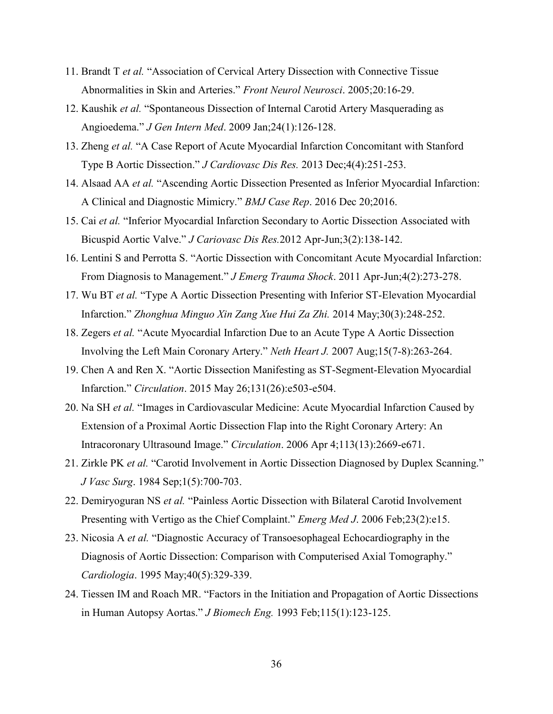- <span id="page-36-0"></span>11. Brandt T *et al.* "Association of Cervical Artery Dissection with Connective Tissue Abnormalities in Skin and Arteries." *Front Neurol Neurosci*. 2005;20:16-29.
- <span id="page-36-1"></span>12. Kaushik *et al.* "Spontaneous Dissection of Internal Carotid Artery Masquerading as Angioedema." *J Gen Intern Med*. 2009 Jan;24(1):126-128.
- <span id="page-36-2"></span>13. Zheng *et al.* "A Case Report of Acute Myocardial Infarction Concomitant with Stanford Type B Aortic Dissection." *J Cardiovasc Dis Res.* 2013 Dec;4(4):251-253.
- <span id="page-36-3"></span>14. Alsaad AA *et al.* "Ascending Aortic Dissection Presented as Inferior Myocardial Infarction: A Clinical and Diagnostic Mimicry." *BMJ Case Rep*. 2016 Dec 20;2016.
- <span id="page-36-4"></span>15. Cai *et al.* "Inferior Myocardial Infarction Secondary to Aortic Dissection Associated with Bicuspid Aortic Valve." *J Cariovasc Dis Res.*2012 Apr-Jun;3(2):138-142.
- <span id="page-36-5"></span>16. Lentini S and Perrotta S. "Aortic Dissection with Concomitant Acute Myocardial Infarction: From Diagnosis to Management." *J Emerg Trauma Shock*. 2011 Apr-Jun;4(2):273-278.
- <span id="page-36-6"></span>17. Wu BT *et al.* "Type A Aortic Dissection Presenting with Inferior ST-Elevation Myocardial Infarction." *Zhonghua Minguo Xin Zang Xue Hui Za Zhi.* 2014 May;30(3):248-252.
- <span id="page-36-7"></span>18. Zegers *et al.* "Acute Myocardial Infarction Due to an Acute Type A Aortic Dissection Involving the Left Main Coronary Artery." *Neth Heart J.* 2007 Aug;15(7-8):263-264.
- <span id="page-36-8"></span>19. Chen A and Ren X. "Aortic Dissection Manifesting as ST-Segment-Elevation Myocardial Infarction." *Circulation*. 2015 May 26;131(26):e503-e504.
- <span id="page-36-9"></span>20. Na SH *et al.* "Images in Cardiovascular Medicine: Acute Myocardial Infarction Caused by Extension of a Proximal Aortic Dissection Flap into the Right Coronary Artery: An Intracoronary Ultrasound Image." *Circulation*. 2006 Apr 4;113(13):2669-e671.
- <span id="page-36-10"></span>21. Zirkle PK *et al.* "Carotid Involvement in Aortic Dissection Diagnosed by Duplex Scanning." *J Vasc Surg*. 1984 Sep;1(5):700-703.
- <span id="page-36-11"></span>22. Demiryoguran NS *et al.* "Painless Aortic Dissection with Bilateral Carotid Involvement Presenting with Vertigo as the Chief Complaint." *Emerg Med J*. 2006 Feb;23(2):e15.
- <span id="page-36-12"></span>23. Nicosia A *et al.* "Diagnostic Accuracy of Transoesophageal Echocardiography in the Diagnosis of Aortic Dissection: Comparison with Computerised Axial Tomography." *Cardiologia*. 1995 May;40(5):329-339.
- <span id="page-36-13"></span>24. Tiessen IM and Roach MR. "Factors in the Initiation and Propagation of Aortic Dissections in Human Autopsy Aortas." *J Biomech Eng.* 1993 Feb;115(1):123-125.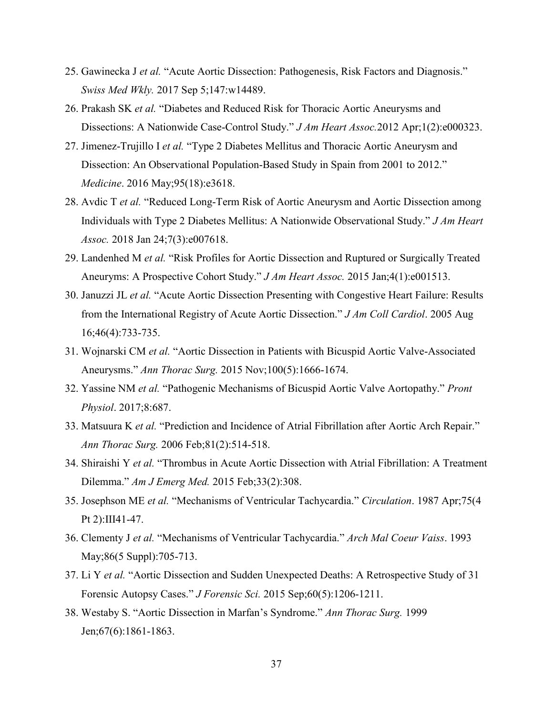- <span id="page-37-0"></span>25. Gawinecka J *et al.* "Acute Aortic Dissection: Pathogenesis, Risk Factors and Diagnosis." *Swiss Med Wkly.* 2017 Sep 5;147:w14489.
- <span id="page-37-1"></span>26. Prakash SK *et al.* "Diabetes and Reduced Risk for Thoracic Aortic Aneurysms and Dissections: A Nationwide Case-Control Study." *J Am Heart Assoc.*2012 Apr;1(2):e000323.
- <span id="page-37-2"></span>27. Jimenez-Trujillo I *et al.* "Type 2 Diabetes Mellitus and Thoracic Aortic Aneurysm and Dissection: An Observational Population-Based Study in Spain from 2001 to 2012." *Medicine*. 2016 May;95(18):e3618.
- <span id="page-37-3"></span>28. Avdic T *et al.* "Reduced Long-Term Risk of Aortic Aneurysm and Aortic Dissection among Individuals with Type 2 Diabetes Mellitus: A Nationwide Observational Study." *J Am Heart Assoc.* 2018 Jan 24;7(3):e007618.
- <span id="page-37-4"></span>29. Landenhed M *et al.* "Risk Profiles for Aortic Dissection and Ruptured or Surgically Treated Aneuryms: A Prospective Cohort Study." *J Am Heart Assoc.* 2015 Jan;4(1):e001513.
- <span id="page-37-5"></span>30. Januzzi JL *et al.* "Acute Aortic Dissection Presenting with Congestive Heart Failure: Results from the International Registry of Acute Aortic Dissection." *J Am Coll Cardiol*. 2005 Aug 16;46(4):733-735.
- <span id="page-37-6"></span>31. Wojnarski CM *et al.* "Aortic Dissection in Patients with Bicuspid Aortic Valve-Associated Aneurysms." *Ann Thorac Surg.* 2015 Nov;100(5):1666-1674.
- <span id="page-37-7"></span>32. Yassine NM *et al.* "Pathogenic Mechanisms of Bicuspid Aortic Valve Aortopathy." *Pront Physiol*. 2017;8:687.
- <span id="page-37-8"></span>33. Matsuura K *et al.* "Prediction and Incidence of Atrial Fibrillation after Aortic Arch Repair." *Ann Thorac Surg.* 2006 Feb;81(2):514-518.
- <span id="page-37-9"></span>34. Shiraishi Y *et al.* "Thrombus in Acute Aortic Dissection with Atrial Fibrillation: A Treatment Dilemma." *Am J Emerg Med.* 2015 Feb;33(2):308.
- <span id="page-37-10"></span>35. Josephson ME *et al.* "Mechanisms of Ventricular Tachycardia." *Circulation*. 1987 Apr;75(4 Pt 2):III41-47.
- <span id="page-37-11"></span>36. Clementy J *et al.* "Mechanisms of Ventricular Tachycardia." *Arch Mal Coeur Vaiss*. 1993 May;86(5 Suppl):705-713.
- <span id="page-37-12"></span>37. Li Y *et al.* "Aortic Dissection and Sudden Unexpected Deaths: A Retrospective Study of 31 Forensic Autopsy Cases." *J Forensic Sci.* 2015 Sep;60(5):1206-1211.
- <span id="page-37-13"></span>38. Westaby S. "Aortic Dissection in Marfan's Syndrome." *Ann Thorac Surg.* 1999 Jen;67(6):1861-1863.